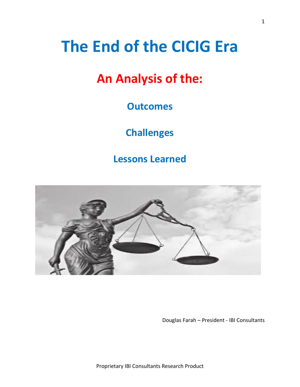# **The End of the CICIG Era**

## **An Analysis of the:**

## **Outcomes**

## **Challenges**

**Lessons Learned**



Douglas Farah – President - IBI Consultants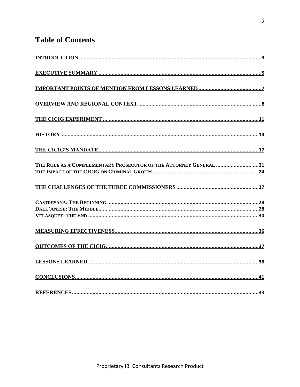## **Table of Contents**

| THE ROLE AS A COMPLEMENTARY PROSECUTOR OF THE ATTORNEY GENERAL 21 |
|-------------------------------------------------------------------|
|                                                                   |
|                                                                   |
|                                                                   |
|                                                                   |
|                                                                   |
|                                                                   |
|                                                                   |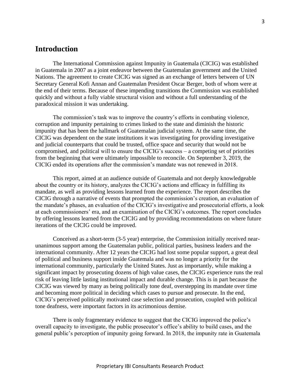## <span id="page-2-0"></span>**Introduction**

The International Commission against Impunity in Guatemala (CICIG) was established in Guatemala in 2007 as a joint endeavor between the Guatemalan government and the United Nations. The agreement to create CICIG was signed as an exchange of letters between of UN Secretary General Kofi Annan and Guatemalan President Oscar Berger, both of whom were at the end of their terms. Because of these impending transitions the Commission was established quickly and without a fully viable structural vision and without a full understanding of the paradoxical mission it was undertaking.

The commission's task was to improve the country's efforts in combating violence, corruption and impunity pertaining to crimes linked to the state and diminish the historic impunity that has been the hallmark of Guatemalan judicial system. At the same time, the CICIG was dependent on the state institutions it was investigating for providing investigative and judicial counterparts that could be trusted, office space and security that would not be compromised, and political will to ensure the CICIG's success – a competing set of priorities from the beginning that were ultimately impossible to reconcile. On September 3, 2019, the CICIG ended its operations after the commission's mandate was not renewed in 2018.

This report, aimed at an audience outside of Guatemala and not deeply knowledgeable about the country or its history, analyzes the CICIG's actions and efficacy in fulfilling its mandate, as well as providing lessons learned from the experience. The report describes the CICIG through a narrative of events that prompted the commission's creation, an evaluation of the mandate's phases, an evaluation of the CICIG's investigative and prosecutorial efforts, a look at each commissioners' era, and an examination of the CICIG's outcomes. The report concludes by offering lessons learned from the CICIG and by providing recommendations on where future iterations of the CICIG could be improved.

Conceived as a short-term (3-5 year) enterprise, the Commission initially received nearunanimous support among the Guatemalan public, political parties, business leaders and the international community. After 12 years the CICIG had lost some popular support, a great deal of political and business support inside Guatemala and was no longer a priority for the international community, particularly the United States. Just as importantly, while making a significant impact by prosecuting dozens of high value cases, the CICIG experience runs the real risk of leaving little lasting institutional impact and durable change. This is in part because the CICIG was viewed by many as being politically tone deaf, overstepping its mandate over time and becoming more political in deciding which cases to pursue and prosecute. In the end, CICIG's perceived politically motivated case selection and prosecution, coupled with political tone deafness, were important factors in its acrimonious demise.

There is only fragmentary evidence to suggest that the CICIG improved the police's overall capacity to investigate, the public prosecutor's office's ability to build cases, and the general public's perception of impunity going forward. In 2018, the impunity rate in Guatemala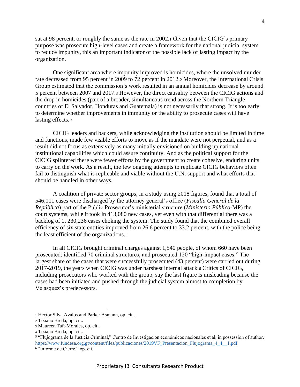sat at 98 percent, or roughly the same as the rate in 2002.<sup>1</sup> Given that the CICIG's primary purpose was prosecute high-level cases and create a framework for the national judicial system to reduce impunity, this an important indicator of the possible lack of lasting impact by the organization.

One significant area where impunity improved is homicides, where the unsolved murder rate decreased from 95 percent in 2009 to 72 percent in 2012.<sup>2</sup> Moreover, the International Crisis Group estimated that the commission's work resulted in an annual homicides decrease by around 5 percent between 2007 and 2017.<sup>3</sup> However, the direct causality between the CICIG actions and the drop in homicides (part of a broader, simultaneous trend across the Northern Triangle countries of El Salvador, Honduras and Guatemala) is not necessarily that strong. It is too early to determine whether improvements in immunity or the ability to prosecute cases will have lasting effects. <sup>4</sup>

CICIG leaders and backers, while acknowledging the institution should be limited in time and functions, made few visible efforts to move as if the mandate were not perpetual, and as a result did not focus as extensively as many initially envisioned on building up national institutional capabilities which could assure continuity. And as the political support for the CICIG splintered there were fewer efforts by the government to create cohesive, enduring units to carry on the work. As a result, the few ongoing attempts to replicate CICIG behaviors often fail to distinguish what is replicable and viable without the U.N. support and what efforts that should be handled in other ways.

A coalition of private sector groups, in a study using 2018 figures, found that a total of 546,011 cases were discharged by the attorney general's office (*Fiscalía General de la República*) part of the Public Prosecutor's ministerial structure (*Ministerio Público*-MP) the court systems, while it took in 413,080 new cases, yet even with that differential there was a backlog of 1, 230,236 cases choking the system. The study found that the combined overall efficiency of six state entities improved from 26.6 percent to 33.2 percent, with the police being the least efficient of the organizations.<sup>5</sup>

In all CICIG brought criminal charges against 1,540 people, of whom 660 have been prosecuted; identified 70 criminal structures; and prosecuted 120 "high-impact cases." The largest share of the cases that were successfully prosecuted (43 percent) were carried out during 2017-2019, the years when CICIG was under harshest internal attack.<sup>6</sup> Critics of CICIG, including prosecutors who worked with the group, say the last figure is misleading because the cases had been initiated and pushed through the judicial system almost to completion by Velasquez's predecessors.

<sup>1</sup> Hector Silva Avalos and Parker Asmann, op. cit..

<sup>2</sup> Tiziano Breda, op. cit..

<sup>3</sup> Maureen Taft-Morales, op. cit..

<sup>4</sup> Tiziano Breda, op. cit..

<sup>5</sup> "Flujograma de la Justicia Criminal," Centro de Investigación económicos nacionales et al, in possession of author. [https://www.fundesa.org.gt/content/files/publicaciones/2019VF\\_Presentacion\\_Flujograma\\_4\\_4\\_\\_1.pdf](https://www.fundesa.org.gt/content/files/publicaciones/2019VF_Presentacion_Flujograma_4_4__1.pdf)

<sup>6</sup> "Informe de Cierre," op. cit.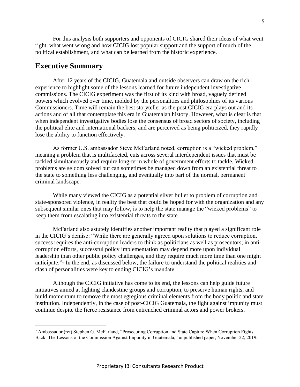For this analysis both supporters and opponents of CICIG shared their ideas of what went right, what went wrong and how CICIG lost popular support and the support of much of the political establishment, and what can be learned from the historic experience.

### <span id="page-4-0"></span>**Executive Summary**

After 12 years of the CICIG, Guatemala and outside observers can draw on the rich experience to highlight some of the lessons learned for future independent investigative commissions. The CICIG experiment was the first of its kind with broad, vaguely defined powers which evolved over time, molded by the personalities and philosophies of its various Commissioners. Time will remain the best storyteller as the post CICIG era plays out and its actions and of all that contemplate this era in Guatemalan history. However, what is clear is that when independent investigative bodies lose the consensus of broad sectors of society, including the political elite and international backers, and are perceived as being politicized, they rapidly lose the ability to function effectively.

As former U.S. ambassador Steve McFarland noted, corruption is a "wicked problem," meaning a problem that is multifaceted, cuts across several interdependent issues that must be tackled simultaneously and require long-term whole of government efforts to tackle. Wicked problems are seldom solved but can sometimes be managed down from an existential threat to the state to something less challenging, and eventually into part of the normal, permanent criminal landscape.

While many viewed the CICIG as a potential silver bullet to problem of corruption and state-sponsored violence, in reality the best that could be hoped for with the organization and any subsequent similar ones that may follow, is to help the state manage the "wicked problems" to keep them from escalating into existential threats to the state.

McFarland also astutely identifies another important reality that played a significant role in the CICIG's demise: "While there are generally agreed upon solutions to reduce corruption, success requires the anti-corruption leaders to think as politicians as well as prosecutors; in anticorruption efforts, successful policy implementation may depend more upon individual leadership than other public policy challenges, and they require much more time than one might anticipate."<sup>7</sup> In the end, as discussed below, the failure to understand the political realities and clash of personalities were key to ending CICIG's mandate.

Although the CICIG initiative has come to its end, the lessons can help guide future initiatives aimed at fighting clandestine groups and corruption, to preserve human rights, and build momentum to remove the most egregious criminal elements from the body politic and state institution. Independently, in the case of post-CICIG Guatemala, the fight against impunity must continue despite the fierce resistance from entrenched criminal actors and power brokers.

<sup>7</sup> Ambassador (ret) Stephen G. McFarland, "Prosecuting Corruption and State Capture When Corruption Fights Back: The Lessons of the Commission Against Impunity in Guatemala," unpublished paper, November 22, 2019.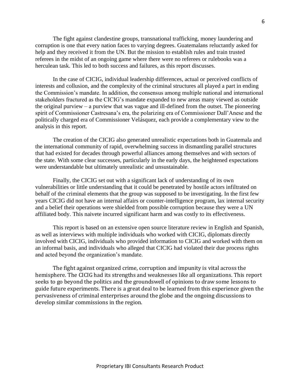The fight against clandestine groups, transnational trafficking, money laundering and corruption is one that every nation faces to varying degrees. Guatemalans reluctantly asked for help and they received it from the UN. But the mission to establish rules and train trusted referees in the midst of an ongoing game where there were no referees or rulebooks was a herculean task. This led to both success and failures, as this report discusses.

In the case of CICIG, individual leadership differences, actual or perceived conflicts of interests and collusion, and the complexity of the criminal structures all played a part in ending the Commission's mandate. In addition, the consensus among multiple national and international stakeholders fractured as the CICIG's mandate expanded to new areas many viewed as outside the original purview – a purview that was vague and ill-defined from the outset. The pioneering spirit of Commissioner Castresana's era, the polarizing era of Commissioner Dall'Anese and the politically charged era of Commissioner Velásquez, each provide a complementary view to the analysis in this report.

The creation of the CICIG also generated unrealistic expectations both in Guatemala and the international community of rapid, overwhelming success in dismantling parallel structures that had existed for decades through powerful alliances among themselves and with sectors of the state. With some clear successes, particularly in the early days, the heightened expectations were understandable but ultimately unrealistic and unsustainable.

Finally, the CICIG set out with a significant lack of understanding of its own vulnerabilities or little understanding that it could be penetrated by hostile actors infiltrated on behalf of the criminal elements that the group was supposed to be investigating. In the first few years CICIG did not have an internal affairs or counter-intelligence program, lax internal security and a belief their operations were shielded from possible corruption because they were a UN affiliated body. This naivete incurred significant harm and was costly to its effectiveness.

This report is based on an extensive open source literature review in English and Spanish, as well as interviews with multiple individuals who worked with CICIG, diplomats directly involved with CICIG, individuals who provided information to CICIG and worked with them on an informal basis, and individuals who alleged that CICIG had violated their due process rights and acted beyond the organization's mandate.

The fight against organized crime, corruption and impunity is vital across the hemisphere. The CICIG had its strengths and weaknesses like all organizations. This report seeks to go beyond the politics and the groundswell of opinions to draw some lessons to guide future experiments. There is a great deal to be learned from this experience given the pervasiveness of criminal enterprises around the globe and the ongoing discussions to develop similar commissions in the region.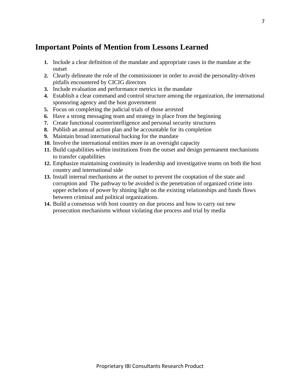## <span id="page-6-0"></span>**Important Points of Mention from Lessons Learned**

- **1.** Include a clear definition of the mandate and appropriate cases in the mandate at the outset
- **2.** Clearly delineate the role of the commissioner in order to avoid the personality-driven pitfalls encountered by CICIG directors
- **3.** Include evaluation and performance metrics in the mandate
- **4.** Establish a clear command and control structure among the organization, the international sponsoring agency and the host government
- **5.** Focus on completing the judicial trials of those arrested
- **6.** Have a strong messaging team and strategy in place from the beginning
- **7.** Create functional counterintelligence and personal security structures
- **8.** Publish an annual action plan and be accountable for its completion
- **9.** Maintain broad international backing for the mandate
- **10.** Involve the international entities more in an oversight capacity
- **11.** Build capabilities within institutions from the outset and design permanent mechanisms to transfer capabilities
- **12.** Emphasize maintaining continuity in leadership and investigative teams on both the host country and international side
- **13.** Install internal mechanisms at the outset to prevent the cooptation of the state and corruption and The pathway to be avoided is the penetration of organized crime into upper echelons of power by shining light on the existing relationships and funds flows between criminal and political organizations.
- **14.** Build a consensus with host country on due process and how to carry out new prosecution mechanisms without violating due process and trial by media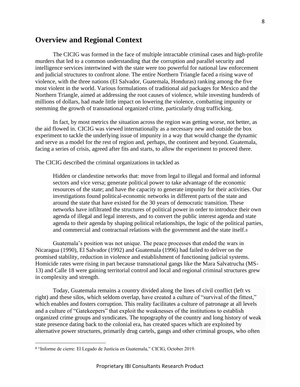## <span id="page-7-0"></span>**Overview and Regional Context**

The CICIG was formed in the face of multiple intractable criminal cases and high-profile murders that led to a common understanding that the corruption and parallel security and intelligence services intertwined with the state were too powerful for national law enforcement and judicial structures to confront alone. The entire Northern Triangle faced a rising wave of violence, with the three nations (El Salvador, Guatemala, Honduras) ranking among the five most violent in the world. Various formulations of traditional aid packages for Mexico and the Northern Triangle, aimed at addressing the root causes of violence, while investing hundreds of millions of dollars, had made little impact on lowering the violence, combatting impunity or stemming the growth of transnational organized crime, particularly drug trafficking.

In fact, by most metrics the situation across the region was getting worse, not better, as the aid flowed in. CICIG was viewed internationally as a necessary new and outside the box experiment to tackle the underlying issue of impunity in a way that would change the dynamic and serve as a model for the rest of region and, perhaps, the continent and beyond. Guatemala, facing a series of crisis, agreed after fits and starts, to allow the experiment to proceed there.

The CICIG described the criminal organizations in tackled as

Hidden or clandestine networks that: move from legal to illegal and formal and informal sectors and vice versa; generate political power to take advantage of the economic resources of the state; and have the capacity to generate impunity for their activities. Our investigations found political-economic networks in different parts of the state and around the state that have existed for the 30 years of democratic transition. These networks have infiltrated the structures of political power in order to introduce their own agenda of illegal and legal interests, and to convert the public interest agenda and state agenda to their agenda by shaping political relationships, the logic of the political parties, and commercial and contractual relations with the government and the state itself.<sup>8</sup>

Guatemala's position was not unique. The peace processes that ended the wars in Nicaragua (1990), El Salvador (1992) and Guatemala (1996) had failed to deliver on the promised stability, reduction in violence and establishment of functioning judicial systems. Homicide rates were rising in part because transnational gangs like the Mara Salvatrucha (MS-13) and Calle 18 were gaining territorial control and local and regional criminal structures grew in complexity and strength.

Today, Guatemala remains a country divided along the lines of civil conflict (left vs right) and these silos, which seldom overlap, have created a culture of "survival of the fittest," which enables and fosters corruption. This reality facilitates a culture of patronage at all levels and a culture of "Gatekeepers" that exploit the weaknesses of the institutions to establish organized crime groups and syndicates. The topography of the country and long history of weak state presence dating back to the colonial era, has created spaces which are exploited by alternative power structures, primarily drug cartels, gangs and other criminal groups, who often

<sup>8</sup> "Informe de cierre: El Legado de Justicia en Guatemala," CICIG, October 2019.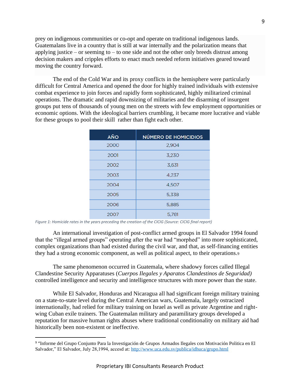prey on indigenous communities or co-opt and operate on traditional indigenous lands. Guatemalans live in a country that is still at war internally and the polarization means that applying justice – or seeming to – to one side and not the other only breeds distrust among decision makers and cripples efforts to enact much needed reform initiatives geared toward moving the country forward.

The end of the Cold War and its proxy conflicts in the hemisphere were particularly difficult for Central America and opened the door for highly trained individuals with extensive combat experience to join forces and rapidly form sophisticated, highly militarized criminal operations. The dramatic and rapid downsizing of militaries and the disarming of insurgent groups put tens of thousands of young men on the streets with few employment opportunities or economic options. With the ideological barriers crumbling, it became more lucrative and viable for these groups to pool their skill rather than fight each other.

| <b>AÑO</b> | <b>NÚMERO DE HOMICIDIOS</b> |
|------------|-----------------------------|
| 2000       | 2.904                       |
| 2001       | 3,230                       |
| 2002       | 3.631                       |
| 2003       | 4.237                       |
| 2004       | 4,507                       |
| 2005       | 5,338                       |
| 2006       | 5,885                       |
| 2007       | 5,781                       |

*Figure 1: Homicide rates in the years preceding the creation of the CICIG (Source: CICIG final report)*

An international investigation of post-conflict armed groups in El Salvador 1994 found that the "illegal armed groups" operating after the war had "morphed" into more sophisticated, complex organizations than had existed during the civil war, and that, as self-financing entities they had a strong economic component, as well as political aspect, to their operations.<sup>9</sup>

The same phenomenon occurred in Guatemala, where shadowy forces called Illegal Clandestine Security Apparatuses (*Cuerpos Ilegales y Aparatos Clandestinos de Seguridad)*  controlled intelligence and security and intelligence structures with more power than the state.

While El Salvador, Honduras and Nicaragua all had significant foreign military training on a state-to-state level during the Central American wars, Guatemala, largely ostracized internationally, had relied for military training on Israel as well as private Argentine and rightwing Cuban exile trainers. The Guatemalan military and paramilitary groups developed a reputation for massive human rights abuses where traditional conditionality on military aid had historically been non-existent or ineffective.

<sup>9</sup> "Informe del Grupo Conjunto Para la Investigación de Grupos Armados Ilegales con Motivación Politica en El Salvador," El Salvador, July 28,1994, accesd at[: http://www.uca.edu.sv/publica/idhuca/grupo.html](http://www.uca.edu.sv/publica/idhuca/grupo.html)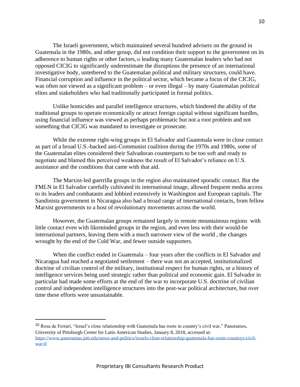The Israeli government, which maintained several hundred advisers on the ground in Guatemala in the 1980s, and other group, did not condition their support to the government on its adherence to human rights or other factors,<sup>10</sup> leading many Guatemalan leaders who had not opposed CICIG to significantly underestimate the disruptions the presence of an international investigative body, untethered to the Guatemalan political and military structures, could have. Financial corruption and influence in the political sector, which became a focus of the CICIG, was often not viewed as a significant problem – or even illegal – by many Guatemalan political elites and stakeholders who had traditionally participated in formal politics.

Unlike homicides and parallel intelligence structures, which hindered the ability of the traditional groups to operate economically or attract foreign capital without significant hurdles, using financial influence was viewed as perhaps problematic but not a root problem and not something that CICIG was mandated to investigate or prosecute.

While the extreme right-wing groups in El Salvador and Guatemala were in close contact as part of a broad U.S.-backed anti-Communist coalition during the 1970s and 1980s, some of the Guatemalan elites considered their Salvadoran counterparts to be too soft and ready to negotiate and blamed this perceived weakness the result of El Salvador's reliance on U.S. assistance and the conditions that came with that aid.

The Marxist-led guerrilla groups in the region also maintained sporadic contact. But the FMLN in El Salvador carefully cultivated its international image, allowed frequent media access to its leaders and combatants and lobbied extensively in Washington and European capitals. The Sandinista government in Nicaragua also had a broad range of international contacts, from fellow Marxist governments to a host of revolutionary movements across the world.

However, the Guatemalan groups remained largely in remote mountainous regions with little contact even with likeminded groups in the region, and even less with their would-be international partners, leaving them with a much narrower view of the world , the changes wrought by the end of the Cold War, and fewer outside supporters.

When the conflict ended in Guatemala – four years after the conflicts in El Salvador and Nicaragua had reached a negotiated settlement – there was not an accepted, institutionalized doctrine of civilian control of the military, institutional respect for human rights, or a history of intelligence services being used strategic rather than political and economic gain. El Salvador in particular had made some efforts at the end of the war to incorporate U.S. doctrine of civilian control and independent intelligence structures into the post-war political architecture, but over time these efforts were unsustainable.

<sup>10</sup> Rosa de Ferrari, "Israel's close relationship with Guatemala has roots in country's civil war," Panoramos, University of Pittsburgh Center for Latin American Studies, January 8, 2018, accessed at: [https://www.panoramas.pitt.edu/news-and-politics/israels-close-relationship-guatemala-has-roots-countrys-civil](https://www.panoramas.pitt.edu/news-and-politics/israels-close-relationship-guatemala-has-roots-countrys-civil-war-0)[war-0](https://www.panoramas.pitt.edu/news-and-politics/israels-close-relationship-guatemala-has-roots-countrys-civil-war-0)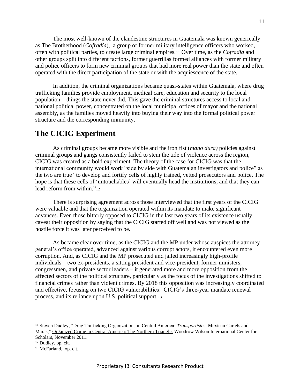The most well-known of the clandestine structures in Guatemala was known generically as The Brotherhood (*Cofradía*), a group of former military intelligence officers who worked, often with political parties, to create large criminal empires.<sup>11</sup> Over time, as the *Cofradía* and other groups split into different factions, former guerrillas formed alliances with former military and police officers to form new criminal groups that had more real power than the state and often operated with the direct participation of the state or with the acquiescence of the state.

In addition, the criminal organizations became quasi-states within Guatemala, where drug trafficking families provide employment, medical care, education and security to the local population – things the state never did. This gave the criminal structures access to local and national political power, concentrated on the local municipal offices of mayor and the national assembly, as the families moved heavily into buying their way into the formal political power structure and the corresponding immunity.

## <span id="page-10-0"></span>**The CICIG Experiment**

As criminal groups became more visible and the iron fist (*mano dura)* policies against criminal groups and gangs consistently failed to stem the tide of violence across the region, CICIG was created as a bold experiment. The theory of the case for CICIG was that the international community would work "side by side with Guatemalan investigators and police" as the two are true "to develop and fortify cells of highly trained, vetted prosecutors and police. The hope is that these cells of 'untouchables' will eventually head the institutions, and that they can lead reform from within."<sup>12</sup>

There is surprising agreement across those interviewed that the first years of the CICIG were valuable and that the organization operated within its mandate to make significant advances. Even those bitterly opposed to CICIG in the last two years of its existence usually caveat their opposition by saying that the CICIG started off well and was not viewed as the hostile force it was later perceived to be.

As became clear over time, as the CICIG and the MP under whose auspices the attorney general's office operated, advanced against various corrupt actors, it encountered even more corruption. And, as CICIG and the MP prosecuted and jailed increasingly high-profile individuals – two ex-presidents, a sitting president and vice-president, former ministers, congressmen, and private sector leaders – it generated more and more opposition from the affected sectors of the political structure, particularly as the focus of the investigations shifted to financial crimes rather than violent crimes. By 2018 this opposition was increasingly coordinated and effective, focusing on two CICIG vulnerabilities: CICIG's three-year mandate renewal process, and its reliance upon U.S. political support.<sup>13</sup>

<sup>11</sup> Steven Dudley, "Drug Trafficking Organizations in Central America: *Transportistas,* Mexican Cartels and Maras," Organized Crime in Central America: The Northern Triangle, Woodrow Wilson International Center for Scholars, November 2011.

<sup>12</sup> Dudley, op. cit.

<sup>13</sup> McFarland, op. cit.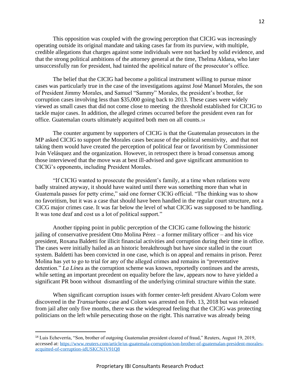This opposition was coupled with the growing perception that CICIG was increasingly operating outside its original mandate and taking cases far from its purview, with multiple, credible allegations that charges against some individuals were not backed by solid evidence, and that the strong political ambitions of the attorney general at the time, Thelma Aldana, who later unsuccessfully ran for president, had tainted the apolitical nature of the prosecutor's office.

The belief that the CICIG had become a political instrument willing to pursue minor cases was particularly true in the case of the investigations against José Manuel Morales, the son of President Jimmy Morales, and Samuel "Sammy" Morales, the president's brother, for corruption cases involving less than \$35,000 going back to 2013. These cases were widely viewed as small cases that did not come close to meeting the threshold established for CICIG to tackle major cases. In addition, the alleged crimes occurred before the president even ran for office. Guatemalan courts ultimately acquitted both men on all counts.<sup>14</sup>

The counter argument by supporters of CICIG is that the Guatemalan prosecutors in the MP asked CICIG to support the Morales cases because of the political sensitivity, and that not taking them would have created the perception of political fear or favoritism by Commissioner Iván Velásquez and the organization. However, in retrospect there is broad consensus among those interviewed that the move was at best ill-advised and gave significant ammunition to CICIG's opponents, including President Morales.

"If CICIG wanted to prosecute the president's family, at a time when relations were badly strained anyway, it should have waited until there was something more than what in Guatemala passes for petty crime," said one former CICIG official. "The thinking was to show no favoritism, but it was a case that should have been handled in the regular court structure, not a CICG major crimes case. It was far below the level of what CICIG was supposed to be handling. It was tone deaf and cost us a lot of political support."

Another tipping point in public perception of the CICIG came following the historic jailing of conservative president Otto Molina Pérez – a former military officer – and his vice president, Roxana Baldetti for illicit financial activities and corruption during their time in office. The cases were initially hailed as an historic breakthrough but have since stalled in the court system. Baldetti has been convicted in one case, which is on appeal and remains in prison. Perez Molina has yet to go to trial for any of the alleged crimes and remains in "preventative detention." *La Líne*a as the corruption scheme was known, reportedly continues and the arrests, while setting an important precedent on equality before the law, appears now to have yielded a significant PR boon without dismantling of the underlying criminal structure within the state.

When significant corruption issues with former center-left president Alvaro Colom were discovered in the *Transurbano* case and Colom was arrested on Feb. 13, 2018 but was released from jail after only five months, there was the widespread feeling that the CICIG was protecting politicians on the left while persecuting those on the right. This narrative was already being

<sup>14</sup> Luis Echeverría, "Son, brother of outgoing Guatemalan president cleared of fraud," Reuters, August 19, 2019, accessed at: [https://www.reuters.com/article/us-guatemala-corruption/son-brother-of-guatemalan-president-morales](https://www.reuters.com/article/us-guatemala-corruption/son-brother-of-guatemalan-president-morales-acquitted-of-corruption-idUSKCN1V91Q8)[acquitted-of-corruption-idUSKCN1V91Q8](https://www.reuters.com/article/us-guatemala-corruption/son-brother-of-guatemalan-president-morales-acquitted-of-corruption-idUSKCN1V91Q8)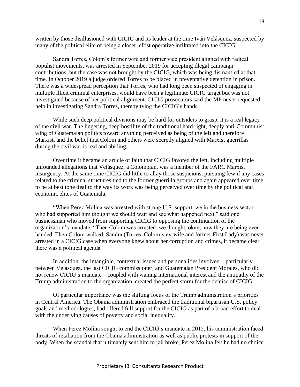written by those disillusioned with CICIG and its leader at the time Iván Velásquez, suspected by many of the political elite of being a closet leftist operative infiltrated into the CICIG.

Sandra Torres, Colom's former wife and former vice president aligned with radical populist movements, was arrested in September 2019 for accepting illegal campaign contributions, but the case was not brought by the CICIG, which was being dismantled at that time. In October 2019 a judge ordered Torres to be placed in preventative detention in prison. There was a widespread perception that Torres, who had long been suspected of engaging in multiple illicit criminal enterprises, would have been a legitimate CICIG target but was not investigated because of her political alignment. CICIG prosecutors said the MP never requested help in investigating Sandra Torres, thereby tying the CICIG's hands.

While such deep political divisions may be hard for outsiders to grasp, it is a real legacy of the civil war. The lingering, deep hostility of the traditional hard right, deeply anti-Communist wing of Guatemalan politics toward anything perceived as being of the left and therefore Marxist, and the belief that Colom and others were secretly aligned with Marxist guerrillas during the civil war is real and abiding.

Over time it became an article of faith that CICIG favored the left, including multiple unfounded allegations that Velásquez, a Colombian, was a member of the FARC Marxist insurgency. At the same time CICIG did little to allay those suspicions, pursuing few if any cases related to the criminal structures tied to the former guerrilla groups and again appeared over time to be at best tone deaf to the way its work was being perceived over time by the political and economic elites of Guatemala.

"When Perez Molina was arrested with strong U.S. support, we in the business sector who had supported him thought we should wait and see what happened next," said one businessman who moved from supporting CICIG to opposing the continuation of the organization's mandate. "Then Colom was arrested, we thought, okay, now they are being even handed. Then Colom walked, Sandra (Torres, Colom's ex-wife and former First Lady) was never arrested in a CICIG case when everyone knew about her corruption and crimes, it became clear there was a political agenda."

In addition, the intangible, contextual issues and personalities involved – particularly between Velásquez, the last CICIG commissioner, and Guatemalan President Morales, who did not renew CICIG's mandate – coupled with waning international interest and the antipathy of the Trump administration to the organization, created the perfect storm for the demise of CICIG.

Of particular importance was the shifting focus of the Trump administration's priorities in Central America. The Obama administration embraced the traditional bipartisan U.S. policy goals and methodologies, had offered full support for the CICIG as part of a broad effort to deal with the underlying causes of poverty and social inequality.

When Perez Molina sought to end the CICIG's mandate in 2015, his administration faced threats of retaliation from the Obama administration as well as public protests in support of the body. When the scandal that ultimately sent him to jail broke, Perez Molina felt he had no choice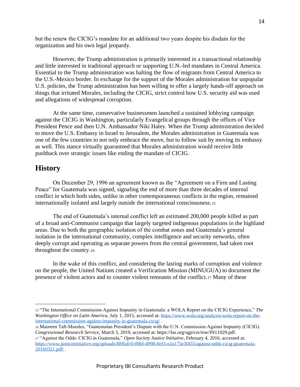but the renew the CICIG's mandate for an additional two years despite his disdain for the organization and his own legal jeopardy.

However, the Trump administration is primarily interested in a transactional relationship and little interested in traditional approach or supporting U.N.-led mandates in Central America. Essential to the Trump administration was halting the flow of migrants from Central America to the U.S.-Mexico border. In exchange for the support of the Morales administration for unpopular U.S. policies, the Trump administration has been willing to offer a largely hands-off approach on things that irritated Morales, including the CICIG, strict control how U.S. security aid was used and allegations of widespread corruption.

At the same time, conservative businessmen launched a sustained lobbying campaign against the CICIG in Washington, particularly Evangelical groups through the offices of Vice President Pence and then U.N. Ambassador Niki Haley. When the Trump administration decided to move the U.S. Embassy in Israel to Jerusalem, the Morales administration in Guatemala was one of the few countries to not only embrace the move, but to follow suit by moving its embassy as well. This stance virtually guaranteed that Morales administration would receive little pushback over strategic issues like ending the mandate of CICIG.

### <span id="page-13-0"></span>**History**

On December 29, 1996 an agreement known as the "Agreement on a Firm and Lasting Peace" for Guatemala was signed, signaling the end of more than three decades of internal conflict in which both sides, unlike in other contemporaneous conflicts in the region, remained internationally isolated and largely outside the international consciousness.<sup>15</sup>

The end of Guatemala's internal conflict left an estimated 200,000 people killed as part of a broad anti-Communist campaign that largely targeted indigenous populations in the highland areas. Due to both the geographic isolation of the combat zones and Guatemala's general isolation in the international community, complex intelligence and security networks, often deeply corrupt and operating as separate powers from the central government, had taken root throughout the country.<sup>16</sup>

In the wake of this conflict, and considering the lasting marks of corruption and violence on the people, the United Nations created a Verification Mission (MINUGUA) to document the presence of violent actors and to counter violent remnants of the conflict.<sup>17</sup> Many of these

<sup>15</sup> "The International Commission Against Impunity in Guatemala: a WOLA Report on the CICIG Experience," *The Washington Office on Latin America*, July 1, 2015, accessed at[: https://www.wola.org/analysis/wola-report-on-the](https://www.wola.org/analysis/wola-report-on-the-international-commission-against-impunity-in-guatemala-cicig/)[international-commission-against-impunity-in-guatemala-cicig/](https://www.wola.org/analysis/wola-report-on-the-international-commission-against-impunity-in-guatemala-cicig/) .

<sup>16</sup> Maureen Taft-Morales, "Guatemalan President's Dispute with the U.N. Commission Against Impunity (CICIG). *Congressional Research Service*, March 5, 2019, accessed at: https://fas.org/sgp/crs/row/IN11029.pdf.

<sup>17</sup> "Against the Odds: CICIG in Guatemala," *Open Society Justice Initiative*, February 4, 2016, accessed at: [https://www.justiceinitiative.org/uploads/88ffafc0-09bf-4998-8ef3-e2a175e3f455/against-odds-cicig-guatemala-](https://www.justiceinitiative.org/uploads/88ffafc0-09bf-4998-8ef3-e2a175e3f455/against-odds-cicig-guatemala-20160321.pdf/)[20160321.pdf/](https://www.justiceinitiative.org/uploads/88ffafc0-09bf-4998-8ef3-e2a175e3f455/against-odds-cicig-guatemala-20160321.pdf/) .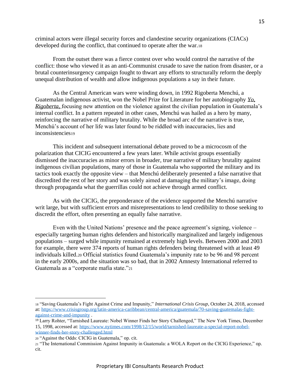criminal actors were illegal security forces and clandestine security organizations (CIACs) developed during the conflict, that continued to operate after the war.<sup>18</sup>

From the outset there was a fierce contest over who would control the narrative of the conflict: those who viewed it as an anti-Communist crusade to save the nation from disaster, or a brutal counterinsurgency campaign fought to thwart any efforts to structurally reform the deeply unequal distribution of wealth and allow indigenous populations a say in their future.

As the Central American wars were winding down, in 1992 Rigoberta Menchú, a Guatemalan indigenous activist, won the Nobel Prize for Literature for her autobiography *Yo, Rigoberta,* focusing new attention on the violence against the civilian population in Guatemala's internal conflict. In a pattern repeated in other cases, Menchú was hailed as a hero by many, reinforcing the narrative of military brutality. While the broad arc of the narrative is true, Menchú's account of her life was later found to be riddled with inaccuracies, lies and inconsistencies<sup>19</sup>

This incident and subsequent international debate proved to be a microcosm of the polarization that CICIG encountered a few years later. While activist groups essentially dismissed the inaccuracies as minor errors in broader, true narrative of military brutality against indigenous civilian populations, many of those in Guatemala who supported the military and its tactics took exactly the opposite view – that Menchú deliberately presented a false narrative that discredited the rest of her story and was solely aimed at damaging the military's image, doing through propaganda what the guerrillas could not achieve through armed conflict.

As with the CICIG, the preponderance of the evidence supported the Menchú narrative writ large, but with sufficient errors and misrepresentations to lend credibility to those seeking to discredit the effort, often presenting an equally false narrative.

Even with the United Nations' presence and the peace agreement's signing, violence – especially targeting human rights defenders and historically marginalized and largely indigenous populations – surged while impunity remained at extremely high levels. Between 2000 and 2003 for example, there were 374 reports of human rights defenders being threatened with at least 49 individuals killed.<sup>20</sup> Official statistics found Guatemala's impunity rate to be 96 and 98 percent in the early 2000s, and the situation was so bad, that in 2002 Amnesty International referred to Guatemala as a "corporate mafia state."<sup>21</sup>

<sup>18</sup> "Saving Guatemala's Fight Against Crime and Impunity," *International Crisis Group*, October 24, 2018, accessed at[: https://www.crisisgroup.org/latin-america-caribbean/central-america/guatemala/70-saving-guatemalas-fight](https://www.crisisgroup.org/latin-america-caribbean/central-america/guatemala/70-saving-guatemalas-fight-against-crime-and-impunity)[against-crime-and-impunity](https://www.crisisgroup.org/latin-america-caribbean/central-america/guatemala/70-saving-guatemalas-fight-against-crime-and-impunity) .

<sup>19</sup> Larry Rohter, "Tarnished Laureate: Nobel Winner Finds her Story Challenged," The New York Times, December 15, 1998, accessed at: [https://www.nytimes.com/1998/12/15/world/tarnished-laureate-a-special-report-nobel](https://www.nytimes.com/1998/12/15/world/tarnished-laureate-a-special-report-nobel-winner-finds-her-story-challenged.html)[winner-finds-her-story-challenged.html](https://www.nytimes.com/1998/12/15/world/tarnished-laureate-a-special-report-nobel-winner-finds-her-story-challenged.html)

<sup>20</sup> "Against the Odds: CICIG in Guatemala," op. cit.

<sup>21</sup> "The International Commission Against Impunity in Guatemala: a WOLA Report on the CICIG Experience," op. cit.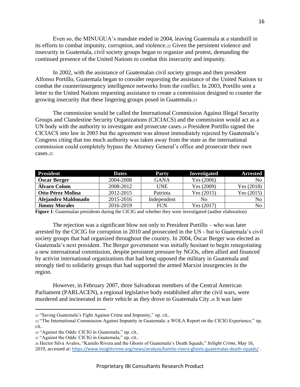Even so, the MINUGUA's mandate ended in 2004, leaving Guatemala at a standstill in its efforts to combat impunity, corruption, and violence.<sup>22</sup> Given the persistent violence and insecurity in Guatemala, civil society groups began to organize and protest, demanding the continued presence of the United Nations to combat this insecurity and impunity.

In 2002, with the assistance of Guatemalan civil society groups and then president Alfonso Portillo, Guatemala began to consider requesting the assistance of the United Nations to combat the counterinsurgency intelligence networks from the conflict. In 2003, Portillo sent a letter to the United Nations requesting assistance to create a commission designed to counter the growing insecurity that these lingering groups posed in Guatemala.<sup>23</sup>

The commission would be called the International Commission Against Illegal Security Groups and Clandestine Security Organizations (CICIACS) and the commission would act as a UN body with the authority to investigate and prosecute cases.<sup>24</sup> President Portillo signed the CICIACS into law in 2003 but the agreement was almost immediately rejected by Guatemala's Congress citing that too much authority was taken away from the state as the international commission could completely bypass the Attorney General's office and prosecute their own cases.<sup>25</sup>

| <b>President</b>     | <b>Dates</b> | <b>Party</b> | Investigated | <b>Arrested</b> |
|----------------------|--------------|--------------|--------------|-----------------|
| Óscar Berger         | 2004-2008    | <b>GANA</b>  | Yes (2006)   | No.             |
| Álvaro Colom         | 2008-2012    | <b>UNE</b>   | Yes (2009)   | Yes $(2018)$    |
| Otto Pérez Molina    | 2012-2015    | Patriota     | Yes $(2015)$ | Yes (2015)      |
| Alejandro Maldonado  | 2015-2016    | Independent  | No           | No.             |
| <b>Jimmy Morales</b> | 2016-2019    | FCN          | Yes $(2017)$ | No.             |

**Figure 1**: Guatemalan presidents during the CICIG and whether they were investigated (author elaboration)

The rejection was a significant blow not only to President Portillo – who was later arrested by the CICIG for corruption in 2010 and prosecuted in the US - but to Guatemala's civil society groups that had organized throughout the country. In 2004, Óscar Berger was elected as Guatemala's next president. The Berger government was initially hesitant to begin renegotiating a new international commission, despite persistent pressure by NGOs, often allied and financed by activist international organizations that had long opposed the military in Guatemala and strongly tied to solidarity groups that had supported the armed Marxist insurgencies in the region.

However, in February 2007, three Salvadoran members of the Central American Parliament (PARLACEN), a regional legislative body established after the civil wars, were murdered and incinerated in their vehicle as they drove to Guatemala City.<sup>26</sup> It was later

<sup>22</sup> "Saving Guatemala's Fight Against Crime and Impunity," op. cit..

<sup>23</sup> "The International Commission Against Impunity in Guatemala: a WOLA Report on the CICIG Experience," op. cit..

<sup>24</sup> "Against the Odds: CICIG in Guatemala," op. cit..

<sup>25</sup> "Against the Odds: CICIG in Guatemala," op. cit..

<sup>26</sup> Hector Silva Avalos, "Kamilo Rivera and the Ghosts of Guatemala's Death Squads," *InSight Crime*, May 16, 2019, accessed at: <https://www.insightcrime.org/news/analysis/kamilo-rivera-ghosts-guatemalas-death-squads/> .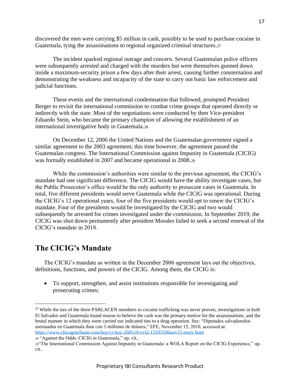discovered the men were carrying \$5 million in cash, possibly to be used to purchase cocaine in Guatemala, tying the assassinations to regional organized criminal structures.<sup>27</sup>

The incident sparked regional outrage and concern. Several Guatemalan police officers were subsequently arrested and charged with the murders but were themselves gunned down inside a maximum-security prison a few days after their arrest, causing further consternation and demonstrating the weakness and incapacity of the state to carry out basic law enforcement and judicial functions.

These events and the international condemnation that followed, prompted President Berger to revisit the international commission to combat crime groups that operated directly or indirectly with the state. Most of the negotiations were conducted by then Vice-president Eduardo Stein, who became the primary champion of allowing the establishment of an international investigative body in Guatemala.<sup>28</sup>

On December 12, 2006 the United Nations and the Guatemalan government signed a similar agreement to the 2003 agreement; this time however, the agreement passed the Guatemalan congress. The International Commission against Impunity in Guatemala (CICIG) was formally established in 2007 and became operational in 2008.<sup>29</sup>

While the commission's authorities were similar to the previous agreement, the CICIG's mandate had one significant difference. The CICIG would have the ability investigate cases, but the Public Prosecutor's office would be the only authority to prosecute cases in Guatemala. In total, five different presidents would serve Guatemala while the CICIG was operational. During the CICIG's 12 operational years, four of the five presidents would opt to renew the CICIG's mandate. Four of the presidents would be investigated by the CICIG and two would subsequently be arrested for crimes investigated under the commission. In September 2019, the CICIG was shut down permanently after president Morales failed to seek a second renewal of the CICIG's mandate in 2018.

## <span id="page-16-0"></span>**The CICIG's Mandate**

The CICIG's mandate as written in the December 2006 agreement lays out the objectives, definitions, functions, and powers of the CICIG. Among them, the CICIG is:

• To support, strengthen, and assist institutions responsible for investigating and prosecuting crimes;

<sup>&</sup>lt;sup>27</sup> While the ties of the three PARLACEN members to cocaine trafficking was never proven, investigations in both El Salvador and Guatemala found reason to believe the cash was the primary motive for the assassinations, and the brutal manner in which they were carried out indicated ties to a drug operation. See: "Diputados salvadoreños asesinados en Guatemala iban con 5 millones de dólares," EFE, November 15, 2010, accessed at: <https://www.chicagotribune.com/hoy/ct-hoy-268519-vvl2-15595596nov15-story.html>

<sup>28</sup> "Against the Odds: CICIG in Guatemala," op. cit..

<sup>29</sup>"The International Commission Against Impunity in Guatemala: a WOLA Report on the CICIG Experience," op. cit..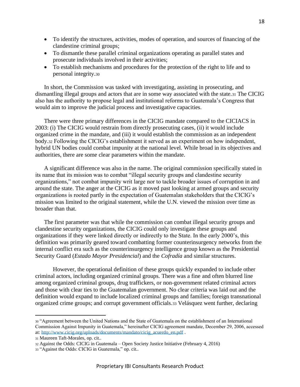- To identify the structures, activities, modes of operation, and sources of financing of the clandestine criminal groups;
- To dismantle these parallel criminal organizations operating as parallel states and prosecute individuals involved in their activities;
- To establish mechanisms and procedures for the protection of the right to life and to personal integrity.<sup>30</sup>

In short, the Commission was tasked with investigating, assisting in prosecuting, and dismantling illegal groups and actors that are in some way associated with the state.<sup>31</sup> The CICIG also has the authority to propose legal and institutional reforms to Guatemala's Congress that would aim to improve the judicial process and investigative capacities.

There were three primary differences in the CICIG mandate compared to the CICIACS in 2003: (i) The CICIG would restrain from directly prosecuting cases, (ii) it would include organized crime in the mandate, and (iii) it would establish the commission as an independent body.<sup>32</sup> Following the CICIG's establishment it served as an experiment on how independent, hybrid UN bodies could combat impunity at the national level. While broad in its objectives and authorities, there are some clear parameters within the mandate.

A significant difference was also in the name. The original commission specifically stated in its name that its mission was to combat "illegal security groups and clandestine security organizations," not combat impunity writ large nor to tackle broader issues of corruption in and around the state. The anger at the CICIG as it moved past looking at armed groups and security organizations is rooted partly in the expectation of Guatemalan stakeholders that the CICIG's mission was limited to the original statement, while the U.N. viewed the mission over time as broader than that.

The first parameter was that while the commission can combat illegal security groups and clandestine security organizations, the CICIG could only investigate these groups and organizations if they were linked directly or indirectly to the State. In the early 2000's, this definition was primarily geared toward combatting former counterinsurgency networks from the internal conflict era such as the counterinsurgency intelligence group known as the Presidential Security Guard (*Estado Mayor Presidencial*) and the *Cofradía* and similar structures.

However, the operational definition of these groups quickly expanded to include other criminal actors, including organized criminal groups. There was a fine and often blurred line among organized criminal groups, drug traffickers, or non-government related criminal actors and those with clear ties to the Guatemalan government. No clear criteria was laid out and the definition would expand to include localized criminal groups and families; foreign transnational organized crime groups; and corrupt government officials.<sup>33</sup> Velásquez went further, declaring

<sup>30</sup> "Agreement between the United Nations and the State of Guatemala on the establishment of an International Commission Against Impunity in Guatemala," hereinafter CICIG agreement mandate, December 29, 2006, accessed at[: http://www.cicig.org/uploads/documents/mandato/cicig\\_acuerdo\\_en.pdf](http://www.cicig.org/uploads/documents/mandato/cicig_acuerdo_en.pdf) .

<sup>31</sup> Maureen Taft-Morales, op. cit..

<sup>32</sup> Against the Odds: CICIG in Guatemala – Open Society Justice Initiative (February 4, 2016)

<sup>33</sup> "Against the Odds: CICIG in Guatemala," op. cit..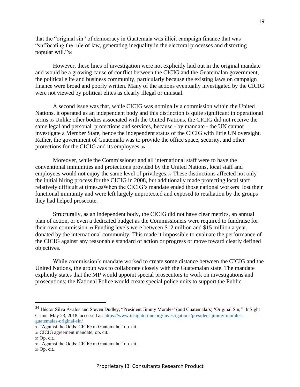that the "original sin" of democracy in Guatemala was illicit campaign finance that was "suffocating the rule of law, generating inequality in the electoral processes and distorting popular will."<sup>34</sup>

However, these lines of investigation were not explicitly laid out in the original mandate and would be a growing cause of conflict between the CICIG and the Guatemalan government, the political elite and business community, particularly because the existing laws on campaign finance were broad and poorly written. Many of the actions eventually investigated by the CICIG were not viewed by political elites as clearly illegal or unusual.

A second issue was that, while CICIG was nominally a commission within the United Nations, it operated as an independent body and this distinction is quite significant in operational terms.<sup>35</sup> Unlike other bodies associated with the United Nations, the CICIG did not receive the same legal and personal protections and services, because - by mandate - the UN cannot investigate a Member State, hence the independent status of the CICIG with little UN oversight. Rather, the government of Guatemala was to provide the office space, security, and other protections for the CICIG and its employees.<sup>36</sup>

Moreover, while the Commissioner and all international staff were to have the conventional immunities and protections provided by the United Nations, local staff and employees would not enjoy the same level of privileges.<sup>37</sup> These distinctions affected not only the initial hiring process for the CICIG in 2008, but additionally made protecting local staff relatively difficult at times.38When the CICIG's mandate ended those national workers lost their functional immunity and were left largely unprotected and exposed to retaliation by the groups they had helped prosecute.

Structurally, as an independent body, the CICIG did not have clear metrics, an annual plan of action, or even a dedicated budget as the Commissioners were required to fundraise for their own commission.<sup>39</sup> Funding levels were between \$12 million and \$15 million a year, donated by the international community. This made it impossible to evaluate the performance of the CICIG against any reasonable standard of action or progress or move toward clearly defined objectives.

While commission's mandate worked to create some distance between the CICIG and the United Nations, the group was to collaborate closely with the Guatemalan state. The mandate explicitly states that the MP would appoint special prosecutors to work on investigations and prosecutions; the National Police would create special police units to support the Public

<sup>34</sup> Héctor Silva Ávalos and Steven Dudley, "President Jimmy Morales' (and Guatemala's) 'Original Sin,'" InSight Crime, May 23, 2018, accessed at: [https://www.insightcrime.org/investigations/president-jimmy-morales](https://www.insightcrime.org/investigations/president-jimmy-morales-guatemalas-original-sin/)[guatemalas-original-sin/](https://www.insightcrime.org/investigations/president-jimmy-morales-guatemalas-original-sin/)

<sup>35</sup> "Against the Odds: CICIG in Guatemala," op. cit..

<sup>36</sup> CICIG agreement mandate, op. cit..

<sup>37</sup> Op. cit..

<sup>38</sup> "Against the Odds: CICIG in Guatemala," op. cit..

<sup>39</sup> Op. cit..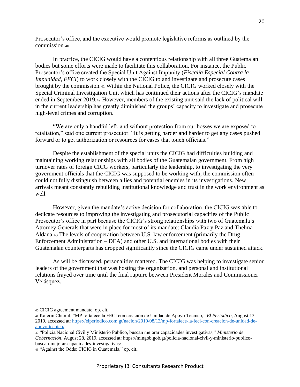Prosecutor's office, and the executive would promote legislative reforms as outlined by the commission.<sup>40</sup>

In practice, the CICIG would have a contentious relationship with all three Guatemalan bodies but some efforts were made to facilitate this collaboration. For instance, the Public Prosecutor's office created the Special Unit Against Impunity (*Fiscalía Especial Contra la Impunidad, FECI*) to work closely with the CICIG to and investigate and prosecute cases brought by the commission.<sup>41</sup> Within the National Police, the CICIG worked closely with the Special Criminal Investigation Unit which has continued their actions after the CICIG's mandate ended in September 2019.<sup>42</sup> However, members of the existing unit said the lack of political will in the current leadership has greatly diminished the groups' capacity to investigate and prosecute high-level crimes and corruption.

"We are only a handful left, and without protection from our bosses we are exposed to retaliation," said one current prosecutor. "It is getting harder and harder to get any cases pushed forward or to get authorization or resources for cases that touch officials."

Despite the establishment of the special units the CICIG had difficulties building and maintaining working relationships with all bodies of the Guatemalan government. From high turnover rates of foreign CICG workers, particularly the leadership, to investigating the very government officials that the CICIG was supposed to be working with, the commission often could not fully distinguish between allies and potential enemies in its investigations. New arrivals meant constantly rebuilding institutional knowledge and trust in the work environment as well.

However, given the mandate's active decision for collaboration, the CICIG was able to dedicate resources to improving the investigating and prosecutorial capacities of the Public Prosecutor's office in part because the CICIG's strong relationships with two of Guatemala's Attorney Generals that were in place for most of its mandate: Claudia Paz y Paz and Thelma Aldana.<sup>43</sup> The levels of cooperation between U.S. law enforcement (primarily the Drug Enforcement Administration – DEA) and other U.S. and international bodies with their Guatemalan counterparts has dropped significantly since the CICIG came under sustained attack.

As will be discussed, personalities mattered. The CICIG was helping to investigate senior leaders of the government that was hosting the organization, and personal and institutional relations frayed over time until the final rupture between President Morales and Commissioner Velásquez.

20

<sup>40</sup> CICIG agreement mandate, op. cit..

<sup>41</sup> Katerin Chumil, "MP fortalece la FECI con creación de Unidad de Apoyo Técnico," *El Periódico*, August 13, 2019, accessed at: [https://elperiodico.com.gt/nacion/2019/08/13/mp-fortalece-la-feci-con-creacion-de-unidad-de](https://elperiodico.com.gt/nacion/2019/08/13/mp-fortalece-la-feci-con-creacion-de-unidad-de-apoyo-tecnico/)[apoyo-tecnico/](https://elperiodico.com.gt/nacion/2019/08/13/mp-fortalece-la-feci-con-creacion-de-unidad-de-apoyo-tecnico/) .

<sup>42</sup> "Policía Nacional Civil y Ministerio Público, buscan mejorar capacidades investigativas," *Ministerio de Gobernación*, August 28, 2019, accessed at: https://mingob.gob.gt/policia-nacional-civil-y-ministerio-publicobuscan-mejorar-capacidades-investigativas/.

<sup>43</sup> "Against the Odds: CICIG in Guatemala," op. cit..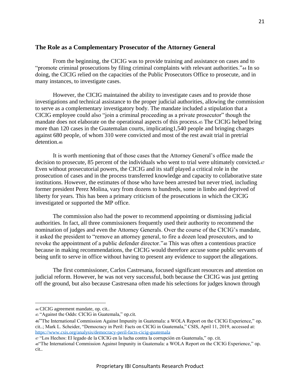#### <span id="page-20-0"></span>**The Role as a Complementary Prosecutor of the Attorney General**

From the beginning, the CICIG was to provide training and assistance on cases and to "promote criminal prosecutions by filing criminal complaints with relevant authorities."<sup>44</sup> In so doing, the CICIG relied on the capacities of the Public Prosecutors Office to prosecute, and in many instances, to investigate cases.

However, the CICIG maintained the ability to investigate cases and to provide those investigations and technical assistance to the proper judicial authorities, allowing the commission to serve as a complementary investigatory body. The mandate included a stipulation that a CICIG employee could also "join a criminal proceeding as a private prosecutor" though the mandate does not elaborate on the operational aspects of this process.<sup>45</sup> The CICIG helped bring more than 120 cases in the Guatemalan courts, implicating1,540 people and bringing charges against 680 people, of whom 310 were convicted and most of the rest await trial in pretrial detention.<sup>46</sup>

It is worth mentioning that of those cases that the Attorney General's office made the decision to prosecute, 85 percent of the individuals who went to trial were ultimately convicted.47 Even without prosecutorial powers, the CICIG and its staff played a critical role in the prosecution of cases and in the process transferred knowledge and capacity to collaborative state institutions. However, the estimates of those who have been arrested but never tried, including former president Perez Molina, vary from dozens to hundreds, some in limbo and deprived of liberty for years. This has been a primary criticism of the prosecutions in which the CICIG investigated or supported the MP office.

The commission also had the power to recommend appointing or dismissing judicial authorities. In fact, all three commissioners frequently used their authority to recommend the nomination of judges and even the Attorney Generals. Over the course of the CICIG's mandate, it asked the president to "remove an attorney general, to fire a dozen lead prosecutors, and to revoke the appointment of a public defender director."<sup>48</sup> This was often a contentious practice because in making recommendations, the CICIG would therefore accuse some public servants of being unfit to serve in office without having to present any evidence to support the allegations.

The first commissioner, Carlos Castresana, focused significant resources and attention on judicial reform. However, he was not very successful, both because the CICIG was just getting off the ground, but also because Castresana often made his selections for judges known through

<sup>44</sup> CICIG agreement mandate, op. cit..

<sup>45</sup> "Against the Odds: CICIG in Guatemala," op.cit.

<sup>46</sup>"The International Commission Against Impunity in Guatemala: a WOLA Report on the CICIG Experience," op. cit..; Mark L. Scheider, "Democracy in Peril: Facts on CICIG in Guatemala," CSIS, April 11, 2019, accessed at: <https://www.csis.org/analysis/democracy-peril-facts-cicig-guatemala>

<sup>47</sup> "Los Hechos: El legado de la CICIG en la lucha contra la corrupción en Guatemala," op. cit.

<sup>48</sup>"The International Commission Against Impunity in Guatemala: a WOLA Report on the CICIG Experience," op. cit..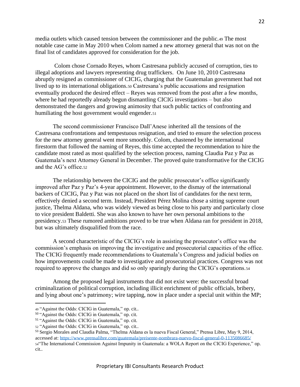media outlets which caused tension between the commissioner and the public.<sup>49</sup> The most notable case came in May 2010 when Colom named a new attorney general that was not on the final list of candidates approved for consideration for the job.

Colom chose Cornado Reyes, whom Castresana publicly accused of corruption, ties to illegal adoptions and lawyers representing drug traffickers. On June 10, 2010 Castresana abruptly resigned as commissioner of CICIG, charging that the Guatemalan government had not lived up to its international obligations.<sup>50</sup> Castresana's public accusations and resignation eventually produced the desired effect – Reyes was removed from the post after a few months, where he had reportedly already begun dismantling CICIG investigations – but also demonstrated the dangers and growing animosity that such public tactics of confronting and humiliating the host government would engender.<sup>51</sup>

The second commissioner Francisco Dall'Anese inherited all the tensions of the Castresana confrontations and tempestuous resignation, and tried to ensure the selection process for the new attorney general went more smoothly. Colom, chastened by the international firestorm that followed the naming of Reyes, this time accepted the recommendation to hire the candidate most rated as most qualified by the selection process, naming Claudia Paz y Paz as Guatemala's next Attorney General in December. The proved quite transformative for the CICIG and the AG's office.<sup>52</sup>

The relationship between the CICIG and the public prosecutor's office significantly improved after Paz y Paz's 4-year appointment. However, to the dismay of the international backers of CICIG, Paz y Paz was not placed on the short list of candidates for the next term, effectively denied a second term. Instead, President Pérez Molina chose a sitting supreme court justice, Thelma Aldana, who was widely viewed as being close to his party and particularly close to vice president Baldetti. She was also known to have her own personal ambitions to the presidency.<sup>53</sup> These rumored ambitions proved to be true when Aldana ran for president in 2018, but was ultimately disqualified from the race.

A second characteristic of the CICIG's role in assisting the prosecutor's office was the commission's emphasis on improving the investigative and prosecutorial capacities of the office. The CICIG frequently made recommendations to Guatemala's Congress and judicial bodies on how improvements could be made to investigative and prosecutorial practices. Congress was not required to approve the changes and did so only sparingly during the CICIG's operations.<sup>54</sup>

Among the proposed legal instruments that did not exist were: the successful broad criminalization of political corruption, including illicit enrichment of public officials, bribery, and lying about one's patrimony; wire tapping, now in place under a special unit within the MP;

<sup>53</sup> Sergio Morales and Claudia Palma, "Thelma Aldana es la nueva Fiscal General," Prensa Libre, May 9, 2014,

<sup>49</sup> "Against the Odds: CICIG in Guatemala," op. cit..

<sup>50</sup> "Against the Odds: CICIG in Guatemala," op. cit.

<sup>51</sup> "Against the Odds: CICIG in Guatemala," op. cit.

<sup>52</sup> "Against the Odds: CICIG in Guatemala," op. cit..

accessed at:<https://www.prensalibre.com/guatemala/preisente-nombrara-nuevo-fiscal-general-0-1135086685/> <sup>54</sup>"The International Commission Against Impunity in Guatemala: a WOLA Report on the CICIG Experience," op. cit..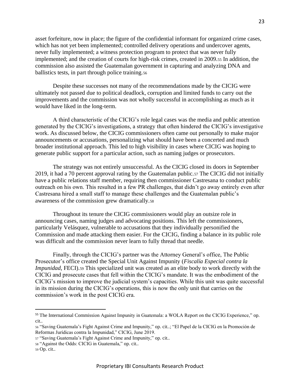asset forfeiture, now in place; the figure of the confidential informant for organized crime cases, which has not yet been implemented; controlled delivery operations and undercover agents, never fully implemented; a witness protection program to protect that was never fully implemented; and the creation of courts for high-risk crimes, created in 2009.<sup>55</sup> In addition, the commission also assisted the Guatemalan government in capturing and analyzing DNA and ballistics tests, in part through police training.<sup>56</sup>

Despite these successes not many of the recommendations made by the CICIG were ultimately not passed due to political deadlock, corruption and limited funds to carry out the improvements and the commission was not wholly successful in accomplishing as much as it would have liked in the long-term.

A third characteristic of the CICIG's role legal cases was the media and public attention generated by the CICIG's investigations, a strategy that often hindered the CICIG's investigative work. As discussed below, the CICIG commissioners often came out personally to make major announcements or accusations, personalizing what should have been a concerted and much broader institutional approach. This led to high visibility in cases where CICIG was hoping to generate public support for a particular action, such as naming judges or prosecutors.

The strategy was not entirely unsuccessful. As the CICIG closed its doors in September 2019, it had a 70 percent approval rating by the Guatemalan public.<sup>57</sup> The CICIG did not initially have a public relations staff member, requiring then commissioner Castresana to conduct public outreach on his own. This resulted in a few PR challenges, that didn't go away entirely even after Castresana hired a small staff to manage these challenges and the Guatemalan public's awareness of the commission grew dramatically.<sup>58</sup>

Throughout its tenure the CICIG commissioners would play an outsize role in announcing cases, naming judges and advocating positions. This left the commissioners, particularly Velásquez, vulnerable to accusations that they individually personified the Commission and made attacking them easier. For the CICIG, finding a balance in its public role was difficult and the commission never learn to fully thread that needle.

Finally, through the CICIG's partner was the Attorney General's office, The Public Prosecutor's office created the Special Unit Against Impunity (*Fiscalía Especial contra la Impunidad*, FECI).<sup>59</sup> This specialized unit was created as an elite body to work directly with the CICIG and prosecute cases that fell within the CICIG's mandate. It was the embodiment of the CICIG's mission to improve the judicial system's capacities. While this unit was quite successful in its mission during the CICIG's operations, this is now the only unit that carries on the commission's work in the post CICIG era.

<sup>55</sup> The International Commission Against Impunity in Guatemala: a WOLA Report on the CICIG Experience," op. cit..

<sup>56</sup> "Saving Guatemala's Fight Against Crime and Impunity," op. cit..; "El Papel de la CICIG en la Promoción de Reformas Jurídicas contra la Impunidad," CICIG, June 2019.

<sup>57</sup> "Saving Guatemala's Fight Against Crime and Impunity," op. cit..

<sup>58</sup> "Against the Odds: CICIG in Guatemala," op. cit..

<sup>59</sup> Op. cit..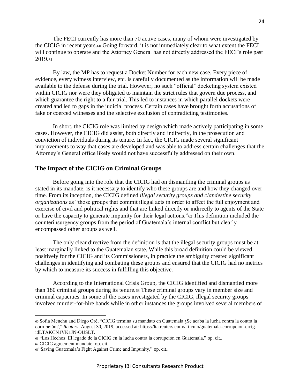The FECI currently has more than 70 active cases, many of whom were investigated by the CICIG in recent years.<sup>60</sup> Going forward, it is not immediately clear to what extent the FECI will continue to operate and the Attorney General has not directly addressed the FECI's role past 2019.<sup>61</sup>

By law, the MP has to request a Docket Number for each new case. Every piece of evidence, every witness interview, etc. is carefully documented as the information will be made available to the defense during the trial. However, no such "official" docketing system existed within CICIG nor were they obligated to maintain the strict rules that govern due process, and which guarantee the right to a fair trial. This led to instances in which parallel dockets were created and led to gaps in the judicial process. Certain cases have brought forth accusations of fake or coerced witnesses and the selective exclusion of contradicting testimonies.

In short, the CICIG role was limited by design which made actively participating in some cases. However, the CICIG did assist, both directly and indirectly, in the prosecution and conviction of individuals during its tenure. In fact, the CICIG made several significant improvements to way that cases are developed and was able to address certain challenges that the Attorney's General office likely would not have successfully addressed on their own.

#### <span id="page-23-0"></span>**The Impact of the CICIG on Criminal Groups**

Before going into the role that the CICIG had on dismantling the criminal groups as stated in its mandate, is it necessary to identify who these groups are and how they changed over time. From its inception, the CICIG defined *illegal security groups and clandestine security organizations* as "those groups that commit illegal acts in order to affect the full enjoyment and exercise of civil and political rights and that are linked directly or indirectly to agents of the State or have the capacity to generate impunity for their legal actions."<sup>62</sup> This definition included the counterinsurgency groups from the period of Guatemala's internal conflict but clearly encompassed other groups as well.

The only clear directive from the definition is that the illegal security groups must be at least marginally linked to the Guatemalan state. While this broad definition could be viewed positively for the CICIG and its Commissioners, in practice the ambiguity created significant challenges in identifying and combating these groups and ensured that the CICIG had no metrics by which to measure its success in fulfilling this objective.

According to the International Crisis Group, the CICIG identified and dismantled more than 180 criminal groups during its tenure.<sup>63</sup> These criminal groups vary in member size and criminal capacities. In some of the cases investigated by the CICIG, illegal security groups involved murder-for-hire bands while in other instances the groups involved several members of

<sup>60</sup> Sofia Menchu and Diego Oré, "CICIG termina su mandato en Guatemala ¿Se acaba la lucha contra la contra la corrupción?," *Reuters*, August 30, 2019, accessed at: https://lta.reuters.com/articulo/guatemala-corrupcion-cicigidLTAKCN1VK1JN-OUSLT.

<sup>61</sup> "Los Hechos: El legado de la CICIG en la lucha contra la corrupción en Guatemala," op. cit..

<sup>62</sup> CICIG agreement mandate, op. cit..

<sup>63</sup>"Saving Guatemala's Fight Against Crime and Impunity," op. cit..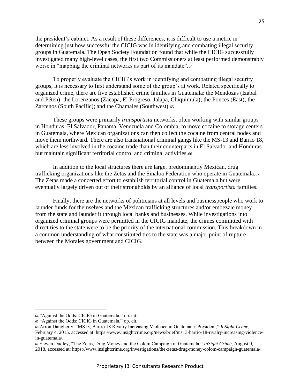the president's cabinet. As a result of these differences, it is difficult to use a metric in determining just how successful the CICIG was in identifying and combating illegal security groups in Guatemala. The Open Society Foundation found that while the CICIG successfully investigated many high-level cases, the first two Commissioners at least performed demonstrably worse in "mapping the criminal networks as part of its mandate".<sup>64</sup>

To properly evaluate the CICIG's work in identifying and combatting illegal security groups, it is necessary to first understand some of the group's at work. Related specifically to organized crime, there are five established crime families in Guatemala: the Mendozas (Izabal and Péten); the Lorenzanos (Zacapa, El Progreso, Jalapa, Chiquimula); the Ponces (East); the Zarcenos (South Pacific); and the Chamales (Southwest).<sup>65</sup>

These groups were primarily *transportista* networks, often working with similar groups in Honduras, El Salvador, Panama, Venezuela and Colombia, to move cocaine to storage centers in Guatemala, where Mexican organizations can then collect the cocaine from central nodes and move them northward. There are also transnational criminal gangs like the MS-13 and Barrio 18, which are less involved in the cocaine trade than their counterparts in El Salvador and Honduras but maintain significant territorial control and criminal activities.<sup>66</sup>

In addition to the local structures there are large, predominantly Mexican, drug trafficking organizations like the Zetas and the Sinaloa Federation who operate in Guatemala.<sup>67</sup> The Zetas made a concerted effort to establish territorial control in Guatemala but were eventually largely driven out of their strongholds by an alliance of local *transportista* families.

Finally, there are the networks of politicians at all levels and businesspeople who work to launder funds for themselves and the Mexican trafficking structures and/or embezzle money from the state and launder it through local banks and businesses. While investigations into organized criminal groups were permitted in the CICIG mandate, the crimes committed with direct ties to the state were to be the priority of the international commission. This breakdown in a common understanding of what constituted ties to the state was a major point of rupture between the Morales government and CICIG.

<sup>64</sup> "Against the Odds: CICIG in Guatemala," op. cit..

<sup>65</sup> "Against the Odds: CICIG in Guatemala," op. cit..

<sup>66</sup> Arron Daugherty, "MS13, Barrio 18 Rivalry Increasing Violence in Guatemala: President," *InSight Crime*, February 4, 2015, accessed at: https://www.insightcrime.org/news/brief/ms13-barrio-18-rivalry-increasing-violencein-guatemala/.

<sup>67</sup> Steven Dudley, "The Zetas, Drug Money and the Colom Campaign in Guatemala," *InSight Crime*, August 9,

<sup>2018,</sup> accessed at: https://www.insightcrime.org/investigations/the-zetas-drug-money-colom-campaign-guatemala/.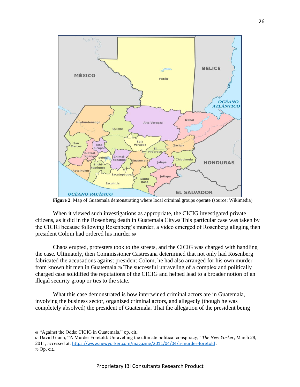

**Figure 2**: Map of Guatemala demonstrating where local criminal groups operate (source: Wikimedia)

When it viewed such investigations as appropriate, the CICIG investigated private citizens, as it did in the Rosenberg death in Guatemala City.<sup>68</sup> This particular case was taken by the CICIG because following Rosenberg's murder, a video emerged of Rosenberg alleging then president Colom had ordered his murder.<sup>69</sup>

Chaos erupted, protesters took to the streets, and the CICIG was charged with handling the case. Ultimately, then Commissioner Castresana determined that not only had Rosenberg fabricated the accusations against president Colom, he had also arranged for his own murder from known hit men in Guatemala.<sup>70</sup> The successful unraveling of a complex and politically charged case solidified the reputations of the CICIG and helped lead to a broader notion of an illegal security group or ties to the state.

What this case demonstrated is how intertwined criminal actors are in Guatemala, involving the business sector, organized criminal actors, and allegedly (though he was completely absolved) the president of Guatemala. That the allegation of the president being

<sup>68</sup> "Against the Odds: CICIG in Guatemala," op. cit..

<sup>69</sup> David Grann, "A Murder Foretold: Unravelling the ultimate political conspiracy," *The New Yorker*, March 28, 2011, accessed at: <https://www.newyorker.com/magazine/2011/04/04/a-murder-foretold> . <sup>70</sup> Op. cit..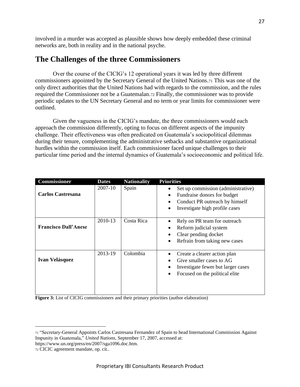involved in a murder was accepted as plausible shows how deeply embedded these criminal networks are, both in reality and in the national psyche.

## <span id="page-26-0"></span>**The Challenges of the three Commissioners**

Over the course of the CICIG's 12 operational years it was led by three different commissioners appointed by the Secretary General of the United Nations.<sup>71</sup> This was one of the only direct authorities that the United Nations had with regards to the commission, and the rules required the Commissioner not be a Guatemalan.<sup>72</sup> Finally, the commissioner was to provide periodic updates to the UN Secretary General and no term or year limits for commissioner were outlined.

Given the vagueness in the CICIG's mandate, the three commissioners would each approach the commission differently, opting to focus on different aspects of the impunity challenge. Their effectiveness was often predicated on Guatemala's sociopolitical dilemmas during their tenure, complementing the administrative setbacks and substantive organizational hurdles within the commission itself. Each commissioner faced unique challenges to their particular time period and the internal dynamics of Guatemala's socioeconomic and political life.

| <b>Commissioner</b>         | <b>Dates</b> | <b>Nationality</b> | <b>Priorities</b>                                                                                                                     |
|-----------------------------|--------------|--------------------|---------------------------------------------------------------------------------------------------------------------------------------|
| <b>Carlos Castresana</b>    | 2007-10      | Spain              | Set up commission (administrative)<br>Fundraise donors for budget<br>Conduct PR outreach by himself<br>Investigate high profile cases |
| <b>Francisco Dall'Anese</b> | 2010-13      | Costa Rica         | Rely on PR team for outreach<br>Reform judicial system<br>Clear pending docket<br>Refrain from taking new cases<br>$\bullet$          |
| <b>Ivan Velásquez</b>       | 2013-19      | Colombia           | Create a clearer action plan<br>Give smaller cases to AG<br>Investigate fewer but larger cases<br>Focused on the political elite      |

Figure 3: List of CICIG commissioners and their primary priorities (author elaboration)

<sup>71</sup> "Secretary-General Appoints Carlos Castresana Fernandez of Spain to head International Commission Against Impunity in Guatemala," *United Nations*, September 17, 2007, accessed at: https://www.un.org/press/en/2007/sga1096.doc.htm.

<sup>72</sup> CICIC agreement mandate, op. cit..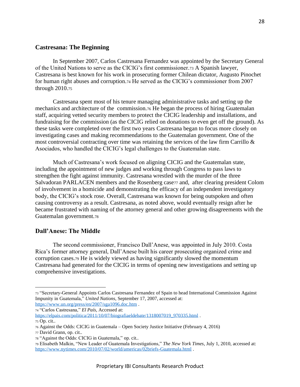#### <span id="page-27-0"></span>**Castresana: The Beginning**

In September 2007, Carlos Castresana Fernandez was appointed by the Secretary General of the United Nations to serve as the CICIG's first commissioner.<sup>73</sup> A Spanish lawyer, Castresana is best known for his work in prosecuting former Chilean dictator, Augusto Pinochet for human right abuses and corruption.<sup>74</sup> He served as the CICIG's commissioner from 2007 through 2010.<sup>75</sup>

Castresana spent most of his tenure managing administrative tasks and setting up the mechanics and architecture of the commission.<sup>76</sup> He began the process of hiring Guatemalan staff, acquiring vetted security members to protect the CICIG leadership and installations, and fundraising for the commission (as the CICIG relied on donations to even get off the ground). As these tasks were completed over the first two years Castresana began to focus more closely on investigating cases and making recommendations to the Guatemalan government. One of the most controversial contracting over time was retaining the services of the law firm Carrillo  $\&$ Asociados, who handled the CICIG's legal challenges to the Guatemalan state.

Much of Castresana's work focused on aligning CICIG and the Guatemalan state, including the appointment of new judges and working through Congress to pass laws to strengthen the fight against immunity. Castresana wrestled with the murder of the three Salvadoran PARLACEN members and the Rosenberg case77 and, after clearing president Colom of involvement in a homicide and demonstrating the efficacy of an independent investigatory body, the CICIG's stock rose. Overall, Castresana was known for being outspoken and often causing controversy as a result. Castresana, as noted above, would eventually resign after he became frustrated with naming of the attorney general and other growing disagreements with the Guatemalan government.<sup>78</sup>

#### <span id="page-27-1"></span>**Dall'Anese: The Middle**

The second commissioner, Francisco Dall'Anese, was appointed in July 2010. Costa Rica's former attorney general, Dall'Anese built his career prosecuting organized crime and corruption cases.<sup>79</sup> He is widely viewed as having significantly slowed the momentum Castresana had generated for the CICIG in terms of opening new investigations and setting up comprehensive investigations.

[https://elpais.com/politica/2011/10/07/biografiaeldebate/1318007019\\_970335.html](https://elpais.com/politica/2011/10/07/biografiaeldebate/1318007019_970335.html) . <sup>75</sup> Op. cit..

<sup>73</sup> "Secretary-General Appoints Carlos Castresana Fernandez of Spain to head International Commission Against Impunity in Guatemala," *United Nations*, September 17, 2007, accessed at: <https://www.un.org/press/en/2007/sga1096.doc.htm> .

<sup>74</sup> "Carlos Castresana," *El País*, Accessed at:

<sup>76</sup> Against the Odds: CICIG in Guatemala – Open Society Justice Initiative (February 4, 2016)

<sup>77</sup> David Grann, op. cit..

<sup>78</sup> "Against the Odds: CICIG in Guatemala," op. cit..

<sup>79</sup> Elisabeth Malkin, "New Leader of Guatemala Investigations," *The New York Times*, July 1, 2010, accessed at: <https://www.nytimes.com/2010/07/02/world/americas/02briefs-Guatemala.html> .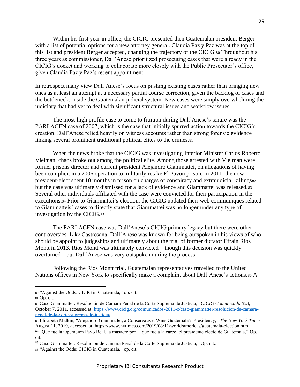Within his first year in office, the CICIG presented then Guatemalan president Berger with a list of potential options for a new attorney general. Claudia Paz y Paz was at the top of this list and president Berger accepted, changing the trajectory of the CICIG.<sup>80</sup> Throughout his three years as commissioner, Dall'Anese prioritized prosecuting cases that were already in the CICIG's docket and working to collaborate more closely with the Public Prosecutor's office, given Claudia Paz y Paz's recent appointment.

In retrospect many view Dall'Anese's focus on pushing existing cases rather than bringing new ones as at least an attempt at a necessary partial course correction, given the backlog of cases and the bottlenecks inside the Guatemalan judicial system. New cases were simply overwhelming the judiciary that had yet to deal with significant structural issues and workflow issues.

The most-high profile case to come to fruition during Dall'Anese's tenure was the PARLACEN case of 2007, which is the case that initially spurred action towards the CICIG's creation. Dall'Anese relied heavily on witness accounts rather than strong forensic evidence linking several prominent traditional political elites to the crimes.<sup>81</sup>

When the news broke that the CICIG was investigating Interior Minister Carlos Roberto Vielman, chaos broke out among the political elite. Among those arrested with Vielman were former prisons director and current president Alejandro Giammattei, on allegations of having been complicit in a 2006 operation to militarily retake El Pavon prison. In 2011, the now president-elect spent 10 months in prison on charges of conspiracy and extrajudicial killings $\frac{1}{2}$ but the case was ultimately dismissed for a lack of evidence and Giammattei was released.<sup>83</sup> Several other individuals affiliated with the case were convicted for their participation in the executions.<sup>84</sup> Prior to Giammattei's election, the CICIG updated their web communiques related to Giammatteis' cases to directly state that Giammattei was no longer under any type of investigation by the CICIG.<sup>85</sup>

The PARLACEN case was Dall'Anese's CICIG primary legacy but there were other controversies. Like Castresana, Dall'Anese was known for being outspoken in his views of who should be appoint to judgeships and ultimately about the trial of former dictator Efraín Ríos Montt in 2013. Ríos Montt was ultimately convicted – though this decision was quickly overturned – but Dall'Anese was very outspoken during the process.

Following the Ríos Montt trial, Guatemalan representatives travelled to the United Nations offices in New York to specifically make a complaint about Dall'Anese's actions.<sup>86</sup> A

<sup>80</sup> "Against the Odds: CICIG in Guatemala," op. cit..

<sup>81</sup> Op. cit..

<sup>82</sup> Caso Giammattei: Resolución de Cámara Penal de la Corte Suprema de Justicia," *CICIG Comunicado 053*, October 7, 2011, accessed at[: https://www.cicig.org/comunicados-2011-c/caso-giammattei-resolucion-de-camara](https://www.cicig.org/comunicados-2011-c/caso-giammattei-resolucion-de-camara-penal-de-la-corte-suprema-de-justicia/)[penal-de-la-corte-suprema-de-justicia/](https://www.cicig.org/comunicados-2011-c/caso-giammattei-resolucion-de-camara-penal-de-la-corte-suprema-de-justicia/) .

<sup>83</sup> Elisabeth Malkin, "Alejandro Giammattei, a Conservative, Wins Guatemala's Presidency," *The New York Times*, August 11, 2019, accessed at: https://www.nytimes.com/2019/08/11/world/americas/guatemala-election.html. <sup>84</sup> "Qué fue la Operación Pavo Real, la masacre por la que fue a la cárcel el presidente electo de Guatemala," Op. cit..

<sup>85</sup> Caso Giammattei: Resolución de Cámara Penal de la Corte Suprema de Justicia," Op. cit..

<sup>86</sup> "Against the Odds: CICIG in Guatemala," op. cit..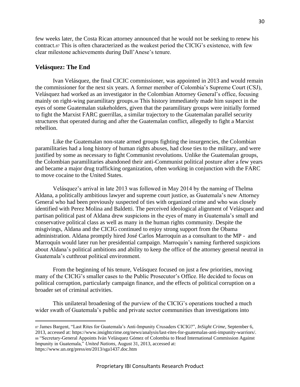few weeks later, the Costa Rican attorney announced that he would not be seeking to renew his contract.<sup>87</sup> This is often characterized as the weakest period the CICIG's existence, with few clear milestone achievements during Dall'Anese's tenure.

#### <span id="page-29-0"></span>**Velásquez: The End**

Ivan Velásquez, the final CICIC commissioner, was appointed in 2013 and would remain the commissioner for the next six years. A former member of Colombia's Supreme Court (CSJ), Velásquez had worked as an investigator in the Colombian Attorney General's office, focusing mainly on right-wing paramilitary groups.<sup>88</sup> This history immediately made him suspect in the eyes of some Guatemalan stakeholders, given that the paramilitary groups were initially formed to fight the Marxist FARC guerrillas, a similar trajectory to the Guatemalan parallel security structures that operated during and after the Guatemalan conflict, allegedly to fight a Marxist rebellion.

Like the Guatemalan non-state armed groups fighting the insurgencies, the Colombian paramilitaries had a long history of human rights abuses, had close ties to the military, and were justified by some as necessary to fight Communist revolutions. Unlike the Guatemalan groups, the Colombian paramilitaries abandoned their anti-Communist political posture after a few years and became a major drug trafficking organization, often working in conjunction with the FARC to move cocaine to the United States.

Velásquez's arrival in late 2013 was followed in May 2014 by the naming of Thelma Aldana, a politically ambitious lawyer and supreme court justice, as Guatemala's new Attorney General who had been previously suspected of ties with organized crime and who was closely identified with Perez Molina and Baldetti. The perceived ideological alignment of Velásquez and partisan political past of Aldana drew suspicions in the eyes of many in Guatemala's small and conservative political class as well as many in the human rights community. Despite the misgivings, Aldana and the CICIG continued to enjoy strong support from the Obama administration. Aldana promptly hired José Carlos Marroquín as a consultant to the MP - and Marroquín would later run her presidential campaign. Marroquín's naming furthered suspicions about Aldana's political ambitions and ability to keep the office of the attorney general neutral in Guatemala's cutthroat political environment.

From the beginning of his tenure, Velásquez focused on just a few priorities, moving many of the CICIG's smaller cases to the Public Prosecutor's Office. He decided to focus on political corruption, particularly campaign finance, and the effects of political corruption on a broader set of criminal activities.

This unilateral broadening of the purview of the CICIG's operations touched a much wider swath of Guatemala's public and private sector communities than investigations into

<sup>87</sup> James Bargent, "Last Rites for Guatemala's Anti-Impunity Crusaders CICIG?", *InSight Crime*, September 6, 2013, accessed at: https://www.insightcrime.org/news/analysis/last-rites-for-guatemalas-anti-impunity-warriors/. <sup>88</sup> "Secretary-General Appoints Iván Velásquez Gómez of Colombia to Head International Commission Against Impunity in Guatemala," *United Nations*, August 31, 2013, accessed at: https://www.un.org/press/en/2013/sga1437.doc.htm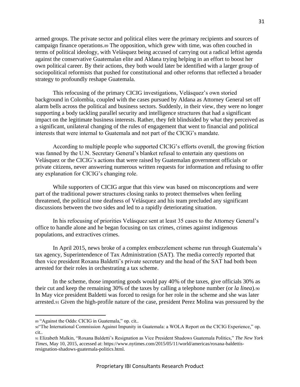armed groups. The private sector and political elites were the primary recipients and sources of campaign finance operations.<sup>89</sup> The opposition, which grew with time, was often couched in terms of political ideology, with Velásquez being accused of carrying out a radical leftist agenda against the conservative Guatemalan elite and Aldana trying helping in an effort to boost her own political career. By their actions, they both would later be identified with a larger group of sociopolitical reformists that pushed for constitutional and other reforms that reflected a broader strategy to profoundly reshape Guatemala.

This refocusing of the primary CICIG investigations, Velásquez's own storied background in Colombia, coupled with the cases pursued by Aldana as Attorney General set off alarm bells across the political and business sectors. Suddenly, in their view, they were no longer supporting a body tackling parallel security and intelligence structures that had a significant impact on the legitimate business interests. Rather, they felt blindsided by what they perceived as a significant, unilateral changing of the rules of engagement that went to financial and political interests that were internal to Guatemala and not part of the CICIG's mandate.

According to multiple people who supported CICIG's efforts overall, the growing friction was fanned by the U.N. Secretary General's blanket refusal to entertain any questions on Velásquez or the CICIG's actions that were raised by Guatemalan government officials or private citizens, never answering numerous written requests for information and refusing to offer any explanation for CICIG's changing role.

While supporters of CICIG argue that this view was based on misconceptions and were part of the traditional power structures closing ranks to protect themselves when feeling threatened, the political tone deafness of Velásquez and his team precluded any significant discussions between the two sides and led to a rapidly deteriorating situation.

In his refocusing of priorities Velásquez sent at least 35 cases to the Attorney General's office to handle alone and he began focusing on tax crimes, crimes against indigenous populations, and extractives crimes.

In April 2015, news broke of a complex embezzlement scheme run through Guatemala's tax agency, Superintendence of Tax Administration (SAT). The media correctly reported that then vice president Roxana Baldetti's private secretary and the head of the SAT had both been arrested for their roles in orchestrating a tax scheme.

In the scheme, those importing goods would pay 40% of the taxes, give officials 30% as their cut and keep the remaining 30% of the taxes by calling a telephone number (or *la linea*).<sup>90</sup> In May vice president Baldetti was forced to resign for her role in the scheme and she was later arrested.<sup>91</sup> Given the high-profile nature of the case, president Perez Molina was pressured by the

<sup>89</sup> "Against the Odds: CICIG in Guatemala," op. cit..

<sup>90&</sup>quot;The International Commission Against Impunity in Guatemala: a WOLA Report on the CICIG Experience," op. cit..

<sup>91</sup> Elizabeth Malkin, "Roxana Baldetti's Resignation as Vice President Shadows Guatemala Politics," *The New York Times*, May 10, 2015, accessed at: https://www.nytimes.com/2015/05/11/world/americas/roxana-baldettisresignation-shadows-guatemala-politics.html.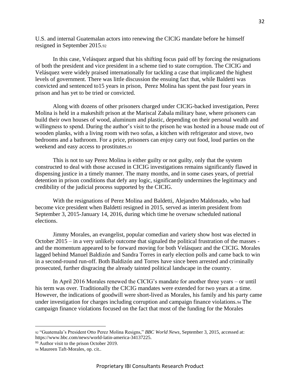U.S. and internal Guatemalan actors into renewing the CICIG mandate before he himself resigned in September 2015.<sup>92</sup>

In this case, Velásquez argued that his shifting focus paid off by forcing the resignations of both the president and vice president in a scheme tied to state corruption. The CICIG and Velásquez were widely praised internationally for tackling a case that implicated the highest levels of government. There was little discussion the ensuing fact that, while Baldetti was convicted and sentenced to15 years in prison, Perez Molina has spent the past four years in prison and has yet to be tried or convicted.

Along with dozens of other prisoners charged under CICIG-backed investigation, Perez Molina is held in a makeshift prison at the Mariscal Zabala military base, where prisoners can build their own houses of wood, aluminum and plastic, depending on their personal wealth and willingness to spend. During the author's visit to the prison he was hosted in a house made out of wooden planks, with a living room with two sofas, a kitchen with refrigerator and stove, two bedrooms and a bathroom. For a price, prisoners can enjoy carry out food, loud parties on the weekend and easy access to prostitutes.<sup>93</sup>

This is not to say Perez Molina is either guilty or not guilty, only that the system constructed to deal with those accused in CICIG investigations remains significantly flawed in dispensing justice in a timely manner. The many months, and in some cases years, of pretrial detention in prison conditions that defy any logic, significantly undermines the legitimacy and credibility of the judicial process supported by the CICIG.

With the resignations of Perez Molina and Baldetti, Alejandro Maldonado, who had become vice president when Baldetti resigned in 2015, served as interim president from September 3, 2015-January 14, 2016, during which time he oversaw scheduled national elections.

Jimmy Morales, an evangelist, popular comedian and variety show host was elected in October 2015 – in a very unlikely outcome that signaled the political frustration of the masses and the momentum appeared to be forward moving for both Velásquez and the CICIG. Morales lagged behind Manuel Baldizón and Sandra Torres in early election polls and came back to win in a second-round run-off. Both Baldizón and Torres have since been arrested and criminally prosecuted, further disgracing the already tainted political landscape in the country.

In April 2016 Morales renewed the CICIG's mandate for another three years – or until his term was over. Traditionally the CICIG mandates were extended for two years at a time. However, the indications of goodwill were short-lived as Morales, his family and his party came under investigation for charges including corruption and campaign finance violations.<sup>94</sup> The campaign finance violations focused on the fact that most of the funding for the Morales

<sup>92</sup> "Guatemala's President Otto Perez Molina Resigns," *BBC World News*, September 3, 2015, accessed at: https://www.bbc.com/news/world-latin-america-34137225.

<sup>&</sup>lt;sup>93</sup> Author visit to the prison October 2019.

<sup>94</sup> Maureen Taft-Morales, op. cit..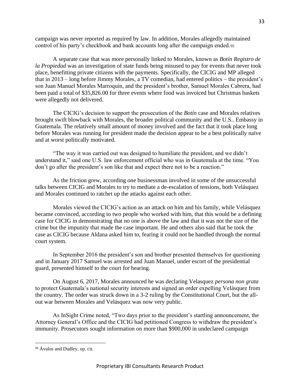campaign was never reported as required by law. In addition, Morales allegedly maintained control of his party's checkbook and bank accounts long after the campaign ended.<sup>95</sup>

A separate case that was more personally linked to Morales, known as *Botín Registro de la Propiedad* was an investigation of state funds being misused to pay for events that never took place, benefitting private citizens with the payments. Specifically, the CICIG and MP alleged that in 2013 – long before Jimmy Morales, a TV comedian, had entered politics – the president's son Juan Manuel Morales Marroquín, and the president's brother, Samuel Morales Cabrera, had been paid a total of \$35,826.00 for three events where food was invoiced but Christmas baskets were allegedly not delivered.

The CICIG's decision to support the prosecution of the *Botín* case and Morales relatives brought swift blowback with Morales, the broader political community and the U.S.. Embassy in Guatemala. The relatively small amount of money involved and the fact that it took place long before Morales was running for president made the decision appear to be a best politically naïve and at worst politically motivated.

"The way it was carried out was designed to humiliate the president, and we didn't understand it," said one U.S. law enforcement official who was in Guatemala at the time. "You don't go after the president's son like that and expect there not to be a reaction."

As the friction grew, according one businessman involved in some of the unsuccessful talks between CICIG and Morales to try to mediate a de-escalation of tensions, both Velásquez and Morales continued to ratchet up the attacks against each other.

Morales viewed the CICIG's action as an attack on him and his family, while Velásquez became convinced, according to two people who worked with him, that this would be a defining case for CICIG in demonstrating that no one is above the law and that it was not the size of the crime but the impunity that made the case important. He and others also said that he took the case as CICIG because Aldana asked him to, fearing it could not be handled through the normal court system.

In September 2016 the president's son and brother presented themselves for questioning and in January 2017 Samuel was arrested and Juan Manuel, under escort of the presidential guard, presented himself to the court for hearing.

On August 6, 2017, Morales announced he was declaring Velasquez *persona non grata*  to protect Guatemala's national security interests and signed an order expelling Velásquez from the country. The order was struck down in a 3-2 ruling by the Constitutional Court, but the allout war between Morales and Velásquez was now very public.

As InSight Crime noted, "Two days prior to the president's startling announcement, the Attorney General's Office and the CICIG had petitioned Congress to withdraw the president's immunity. Prosecutors sought information on more than \$900,000 in undeclared campaign

<sup>&</sup>lt;sup>95</sup> Ávalos and Dudley, op. cit.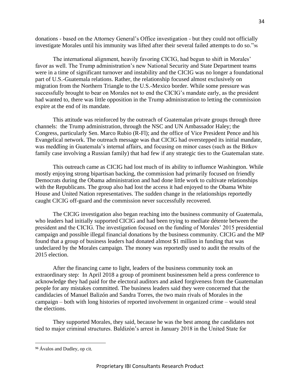donations - based on the Attorney General's Office investigation - but they could not officially investigate Morales until his immunity was lifted after their several failed attempts to do so."<sup>96</sup>

The international alignment, heavily favoring CICIG, had begun to shift in Morales' favor as well. The Trump administration's new National Security and State Department teams were in a time of significant turnover and instability and the CICIG was no longer a foundational part of U.S.-Guatemala relations. Rather, the relationship focused almost exclusively on migration from the Northern Triangle to the U.S.-Mexico border. While some pressure was successfully brought to bear on Morales not to end the CICIG's mandate early, as the president had wanted to, there was little opposition in the Trump administration to letting the commission expire at the end of its mandate.

This attitude was reinforced by the outreach of Guatemalan private groups through three channels: the Trump administration, through the NSC and UN Ambassador Haley; the Congress, particularly Sen. Marco Rubio (R-Fl); and the office of Vice President Pence and his Evangelical network. The outreach message was that CICIG had overstepped its initial mandate, was meddling in Guatemala's internal affairs, and focusing on minor cases (such as the Bitkov family case involving a Russian family) that had few if any strategic ties to the Guatemalan state.

This outreach came as CICIG had lost much of its ability to influence Washington. While mostly enjoying strong bipartisan backing, the commission had primarily focused on friendly Democrats during the Obama administration and had done little work to cultivate relationships with the Republicans. The group also had lost the access it had enjoyed to the Obama White House and United Nation representatives. The sudden change in the relationships reportedly caught CICIG off-guard and the commission never successfully recovered.

The CICIG investigation also began reaching into the business community of Guatemala, who leaders had initially supported CICIG and had been trying to mediate détente between the president and the CICIG. The investigation focused on the funding of Morales' 2015 presidential campaign and possible illegal financial donations by the business community. CICIG and the MP found that a group of business leaders had donated almost \$1 million in funding that was undeclared by the Morales campaign. The money was reportedly used to audit the results of the 2015 election.

After the financing came to light, leaders of the business community took an extraordinary step: In April 2018 a group of prominent businessmen held a press conference to acknowledge they had paid for the electoral auditors and asked forgiveness from the Guatemalan people for any mistakes committed. The business leaders said they were concerned that the candidacies of Manuel Balizón and Sandra Torres, the two main rivals of Morales in the campaign – both with long histories of reported involvement in organized crime – would steal the elections.

They supported Morales, they said, because he was the best among the candidates not tied to major criminal structures. Baldizón's arrest in January 2018 in the United State for

<sup>96</sup> Ávalos and Dudley, op cit.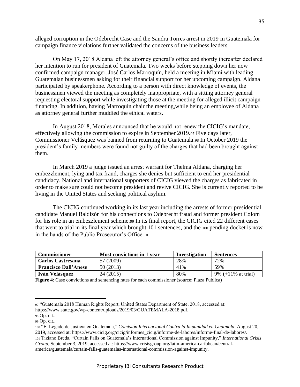alleged corruption in the Odebrecht Case and the Sandra Torres arrest in 2019 in Guatemala for campaign finance violations further validated the concerns of the business leaders.

On May 17, 2018 Aldana left the attorney general's office and shortly thereafter declared her intention to run for president of Guatemala. Two weeks before stepping down her now confirmed campaign manager, José Carlos Marroquín, held a meeting in Miami with leading Guatemalan businessmen asking for their financial support for her upcoming campaign. Aldana participated by speakerphone. According to a person with direct knowledge of events, the businessmen viewed the meeting as completely inappropriate, with a sitting attorney general requesting electoral support while investigating those at the meeting for alleged illicit campaign financing. In addition, having Marroquín chair the meeting,while being an employee of Aldana as attorney general further muddied the ethical waters.

In August 2018, Morales announced that he would not renew the CICIG's mandate, effectively allowing the commission to expire in September 2019.<sup>97</sup> Five days later, Commissioner Velásquez was banned from returning to Guatemala.<sup>98</sup> In October 2019 the president's family members were found not guilty of the charges that had been brought against them.

In March 2019 a judge issued an arrest warrant for Thelma Aldana, charging her embezzlement, lying and tax fraud, charges she denies but sufficient to end her presidential candidacy. National and international supporters of CICIG viewed the charges as fabricated in order to make sure could not become president and revive CICIG. She is currently reported to be living in the United States and seeking political asylum.

The CICIG continued working in its last year including the arrests of former presidential candidate Manuel Baldizón for his connections to Odebrecht fraud and former president Colom for his role in an embezzlement scheme.<sup>99</sup> In its final report, the CICIG cited 22 different cases that went to trial in its final year which brought 101 sentences, and the <sup>100</sup> pending docket is now in the hands of the Public Prosecutor's Office.<sup>101</sup>

| <b>Commissioner</b>         | Most convictions in 1 year | Investigation | <b>Sentences</b>             |
|-----------------------------|----------------------------|---------------|------------------------------|
| <b>Carlos Castresana</b>    | 57 (2009)                  | 28%           | 72%                          |
| <b>Francisco Dall'Anese</b> | 50(2013)                   | 41%           | 59%                          |
| Iván Velásquez              | 24 (2015)                  | 80%           | 9% $(+11% \text{ at trial})$ |

**Figure 4**: Case convictions and sentencing rates for each commissioner (source: Plaza Publica)

<sup>97</sup> "Guatemala 2018 Human Rights Report, United States Department of State, 2018, accessed at: https://www.state.gov/wp-content/uploads/2019/03/GUATEMALA-2018.pdf.

<sup>98</sup> Op. cit..

<sup>99</sup> Op. cit..

<sup>100</sup> "El Legado de Justicia en Guatemala," *Comisión Internacional Contra la Impunidad en Guatmala*, August 20, 2019, accessed at: https://www.cicig.org/cicig/informes\_cicig/informe-de-labores/informe-final-de-labores/.

<sup>101</sup> Tiziano Breda, "Curtain Falls on Guatemala's International Commission against Impunity," *International Crisis Group*, September 3, 2019, accessed at: https://www.crisisgroup.org/latin-america-caribbean/centralamerica/guatemala/curtain-falls-guatemalas-international-commission-against-impunity.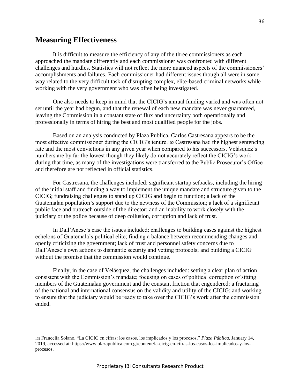## <span id="page-35-0"></span>**Measuring Effectiveness**

It is difficult to measure the efficiency of any of the three commissioners as each approached the mandate differently and each commissioner was confronted with different challenges and hurdles. Statistics will not reflect the more nuanced aspects of the commissioners' accomplishments and failures. Each commissioner had different issues though all were in some way related to the very difficult task of disrupting complex, elite-based criminal networks while working with the very government who was often being investigated.

One also needs to keep in mind that the CICIG's annual funding varied and was often not set until the year had begun, and that the renewal of each new mandate was never guaranteed, leaving the Commission in a constant state of flux and uncertainty both operationally and professionally in terms of hiring the best and most qualified people for the jobs.

Based on an analysis conducted by Plaza Publica, Carlos Castresana appears to be the most effective commissioner during the CICIG's tenure.<sup>102</sup> Castresana had the highest sentencing rate and the most convictions in any given year when compared to his successors. Velásquez's numbers are by far the lowest though they likely do not accurately reflect the CICIG's work during that time, as many of the investigations were transferred to the Public Prosecutor's Office and therefore are not reflected in official statistics.

For Castresana, the challenges included: significant startup setbacks, including the hiring of the initial staff and finding a way to implement the unique mandate and structure given to the CICIG; fundraising challenges to stand up CICIG and begin to function; a lack of the Guatemalan population's support due to the newness of the Commission; a lack of a significant public face and outreach outside of the director; and an inability to work closely with the judiciary or the police because of deep collusion, corruption and lack of trust.

In Dall'Anese's case the issues included: challenges to building cases against the highest echelons of Guatemala's political elite; finding a balance between recommending changes and openly criticizing the government; lack of trust and personnel safety concerns due to Dall'Anese's own actions to dismantle security and vetting protocols; and building a CICIG without the promise that the commission would continue.

Finally, in the case of Velásquez, the challenges included: setting a clear plan of action consistent with the Commission's mandate; focusing on cases of political corruption of sitting members of the Guatemalan government and the constant friction that engendered; a fracturing of the national and international consensus on the validity and utility of the CICIG; and working to ensure that the judiciary would be ready to take over the CICIG's work after the commission ended.

<sup>102</sup> Francelia Solano, "La CICIG en cifras: los casos, los implicados y los procesos," *Plaza Pública*, January 14, 2019, accessed at: https://www.plazapublica.com.gt/content/la-cicig-en-cifras-los-casos-los-implicados-y-losprocesos.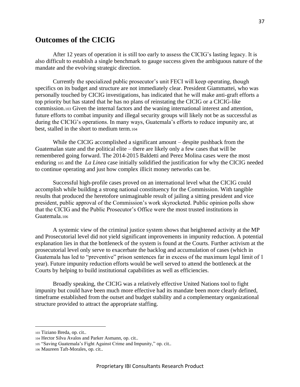## <span id="page-36-0"></span>**Outcomes of the CICIG**

After 12 years of operation it is still too early to assess the CICIG's lasting legacy. It is also difficult to establish a single benchmark to gauge success given the ambiguous nature of the mandate and the evolving strategic direction.

Currently the specialized public prosecutor's unit FECI will keep operating, though specifics on its budget and structure are not immediately clear. President Giammattei, who was personally touched by CICIG investigations, has indicated that he will make anti-graft efforts a top priority but has stated that he has no plans of reinstating the CICIG or a CICIG-like commission.<sup>103</sup> Given the internal factors and the waning international interest and attention, future efforts to combat impunity and illegal security groups will likely not be as successful as during the CICIG's operations. In many ways, Guatemala's efforts to reduce impunity are, at best, stalled in the short to medium term.<sup>104</sup>

While the CICIG accomplished a significant amount – despite pushback from the Guatemalan state and the political elite – there are likely only a few cases that will be remembered going forward. The 2014-2015 Baldetti and Perez Molina cases were the most enduring <sup>105</sup> and the *La Linea* case initially solidified the justification for why the CICIG needed to continue operating and just how complex illicit money networks can be.

Successful high-profile cases proved on an international level what the CICIG could accomplish while building a strong national constituency for the Commission. With tangible results that produced the heretofore unimaginable result of jailing a sitting president and vice president, public approval of the Commission's work skyrocketed. Public opinion polls show that the CICIG and the Public Prosecutor's Office were the most trusted institutions in Guatemala.<sup>106</sup>

A systemic view of the criminal justice system shows that heightened activity at the MP and Prosecutorial level did not yield significant improvements in impunity reduction. A potential explanation lies in that the bottleneck of the system is found at the Courts. Further activism at the prosecutorial level only serve to exacerbate the backlog and accumulation of cases (which in Guatemala has led to "preventive" prison sentences far in excess of the maximum legal limit of 1 year). Future impunity reduction efforts would be well served to attend the bottleneck at the Courts by helping to build institutional capabilities as well as efficiencies.

Broadly speaking, the CICIG was a relatively effective United Nations tool to fight impunity but could have been much more effective had its mandate been more clearly defined, timeframe established from the outset and budget stability and a complementary organizational structure provided to attract the appropriate staffing.

<sup>103</sup> Tiziano Breda, op. cit..

<sup>104</sup> Hector Silva Avalos and Parker Asmann, op. cit..

<sup>105</sup> "Saving Guatemala's Fight Against Crime and Impunity," op. cit..

<sup>106</sup> Maureen Taft-Morales, op. cit..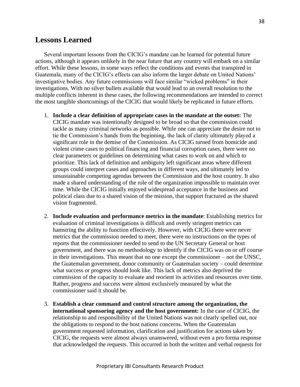## <span id="page-37-0"></span>**Lessons Learned**

Several important lessons from the CICIG's mandate can be learned for potential future actions, although it appears unlikely in the near future that any country will embark on a similar effort. While these lessons, in some ways reflect the conditions and events that transpired in Guatemala, many of the CICIG's effects can also inform the larger debate on United Nations' investigative bodies. Any future commissions will face similar "wicked problems" in their investigations. With no silver bullets available that would lead to an overall resolution to the multiple conflicts inherent in these cases, the following recommendations are intended to correct the most tangible shortcomings of the CICIG that would likely be replicated in future efforts.

- 1. **Include a clear definition of appropriate cases in the mandate at the outset:** The CICIG mandate was intentionally designed to be broad so that the commission could tackle as many criminal networks as possible. While one can appreciate the desire not to tie the Commission's hands from the beginning, the lack of clarity ultimately played a significant role in the demise of the Commission. As CICIG turned from homicide and violent crime cases to political financing and financial corruption cases, there were no clear parameters or guidelines on determining what cases to work on and which to prioritize. This lack of definition and ambiguity left significant areas where different groups could interpret cases and approaches in different ways, and ultimately led to unsustainable competing agendas between the Commission and the host country. It also made a shared understanding of the role of the organization impossible to maintain over time. While the CICIG initially enjoyed widespread acceptance in the business and political class due to a shared vision of the mission, that support fractured as the shared vision fragmented.
- 2. **Include evaluation and performance metrics in the mandate**: Establishing metrics for evaluation of criminal investigations is difficult and overly stringent metrics can hamstring the ability to function effectively. However, with CICIG there were never metrics that the commission needed to meet, there were no instructions on the types of reports that the commissioner needed to send to the UN Secretary General or host government, and there was no methodology to identify if the CICIG was on or off course in their investigations. This meant that no one except the commissioner – not the UNSC, the Guatemalan government, donor community or Guatemalan society – could determine what success or progress should look like. This lack of metrics also deprived the commission of the capacity to evaluate and reorient its activities and resources over time. Rather, progress and success were almost exclusively measured by what the commissioner said it should be.
- 3. **Establish a clear command and control structure among the organization, the international sponsoring agency and the host government:** In the case of CICIG, the relationship to and responsibility of the United Nations was not clearly spelled out, nor the obligations to respond to the host nations concerns. When the Guatemalan government requested information, clarification and justification for actions taken by CICIG, the requests were almost always unanswered, without even a pro forma response that acknowledged the requests. This occurred in both the written and verbal requests for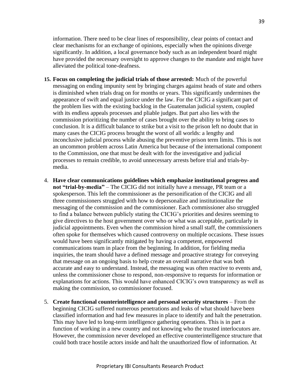information. There need to be clear lines of responsibility, clear points of contact and clear mechanisms for an exchange of opinions, especially when the opinions diverge significantly. In addition, a local governance body such as an independent board might have provided the necessary oversight to approve changes to the mandate and might have alleviated the political tone-deafness.

- **15. Focus on completing the judicial trials of those arrested:** Much of the powerful messaging on ending impunity sent by bringing charges against heads of state and others is diminished when trials drag on for months or years. This significantly undermines the appearance of swift and equal justice under the law. For the CICIG a significant part of the problem lies with the existing backlog in the Guatemalan judicial system, coupled with its endless appeals processes and pliable judges. But part also lies with the commission prioritizing the number of cases brought over the ability to bring cases to conclusion. It is a difficult balance to strike but a visit to the prison left no doubt that in many cases the CICIG process brought the worst of all worlds: a lengthy and inconclusive judicial process while abusing the preventive prison term limits. This is not an uncommon problem across Latin America but because of the international component to the Commission, one that must be dealt with for the investigative and judicial processes to remain credible, to avoid unnecessary arrests before trial and trials-bymedia.
- 4. **Have clear communications guidelines which emphasize institutional progress and not "trial-by-media"** – The CICIG did not initially have a message, PR team or a spokesperson. This left the commissioner as the personification of the CICIG and all three commissioners struggled with how to depersonalize and institutionalize the messaging of the commission and the commissioner. Each commissioner also struggled to find a balance between publicly stating the CICIG's priorities and desires seeming to give directives to the host government over who or what was acceptable, particularly in judicial appointments. Even when the commission hired a small staff, the commissioners often spoke for themselves which caused controversy on multiple occasions. These issues would have been significantly mitigated by having a competent, empowered communications team in place from the beginning. In addition, for fielding media inquiries, the team should have a defined message and proactive strategy for conveying that message on an ongoing basis to help create an overall narrative that was both accurate and easy to understand. Instead, the messaging was often reactive to events and, unless the commissioner chose to respond, non-responsive to requests for information or explanations for actions. This would have enhanced CICIG's own transparency as well as making the commission, so commissioner focused.
- 5. **Create functional counterintelligence and personal security structures**  From the beginning CICIG suffered numerous penetrations and leaks of what should have been classified information and had few measures in place to identify and halt the penetration. This may have led to long-term intelligence gathering operations. This is in part a function of working in a new country and not knowing who the trusted interlocutors are. However, the commission never developed an effective counterintelligence structure that could both trace hostile actors inside and halt the unauthorized flow of information. At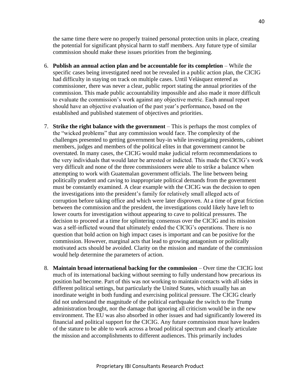the same time there were no properly trained personal protection units in place, creating the potential for significant physical harm to staff members. Any future type of similar commission should make these issues priorities from the beginning.

- 6. **Publish an annual action plan and be accountable for its completion** While the specific cases being investigated need not be revealed in a public action plan, the CICIG had difficulty in staying on track on multiple cases. Until Velásquez entered as commissioner, there was never a clear, public report stating the annual priorities of the commission. This made public accountability impossible and also made it more difficult to evaluate the commission's work against any objective metric. Each annual report should have an objective evaluation of the past year's performance, based on the established and published statement of objectives and priorities.
- 7. **Strike the right balance with the government**  This is perhaps the most complex of the "wicked problems" that any commission would face. The complexity of the challenges presented to getting government buy-in while investigating presidents, cabinet members, judges and members of the political elites in that government cannot be overstated. In many cases, the CICIG would make judicial reform recommendations to the very individuals that would later be arrested or indicted. This made the CICIG's work very difficult and none of the three commissioners were able to strike a balance when attempting to work with Guatemalan government officials. The line between being politically prudent and caving to inappropriate political demands from the government must be constantly examined. A clear example with the CICIG was the decision to open the investigations into the president's family for relatively small alleged acts of corruption before taking office and which were later disproven. At a time of great friction between the commission and the president, the investigations could likely have left to lower courts for investigation without appearing to cave to political pressures. The decision to proceed at a time for splintering consensus over the CICIG and its mission was a self-inflicted wound that ultimately ended the CICIG's operations. There is no question that bold action on high impact cases is important and can be positive for the commission. However, marginal acts that lead to growing antagonism or politically motivated acts should be avoided. Clarity on the mission and mandate of the commission would help determine the parameters of action.
- 8. **Maintain broad international backing for the commission**  Over time the CICIG lost much of its international backing without seeming to fully understand how precarious its position had become. Part of this was not working to maintain contacts with all sides in different political settings, but particularly the United States, which usually has an inordinate weight in both funding and exercising political pressure. The CICIG clearly did not understand the magnitude of the political earthquake the switch to the Trump administration brought, nor the damage that ignoring all criticism would be in the new environment. The EU was also absorbed in other issues and had significantly lowered its financial and political support for the CICIG. Any future commission must have leaders of the stature to be able to work across a broad political spectrum and clearly articulate the mission and accomplishments to different audiences. This primarily includes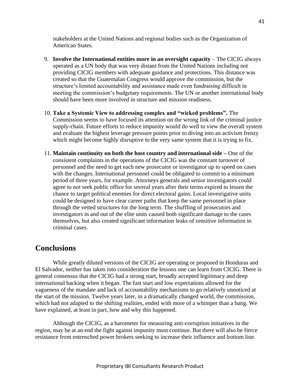stakeholders at the United Nations and regional bodies such as the Organization of American States.

- 9. **Involve the International entities more in an oversight capacity** The CICIG always operated as a UN body that was very distant from the United Nations including not providing CICIG members with adequate guidance and protections. This distance was created so that the Guatemalan Congress would approve the commission, but the structure's limited accountability and assistance made even fundraising difficult in meeting the commission's budgetary requirements. The UN or another international body should have been more involved in structure and mission readiness.
- 10. **Take a Systemic View to addressing complex and "wicked problems".** The Commission seems to have focused its attention on the wrong link of the criminal justice supply-chain. Future efforts to reduce impunity would do well to view the overall system and evaluate the highest leverage pressure points prior to diving into an activism frenzy which might become highly disruptive to the very same system that it is trying to fix.
- 11. **Maintain continuity on both the host country and international side –** One of the consistent complaints in the operations of the CICIG was the constant turnover of personnel and the need to get each new prosecutor or investigator up to speed on cases with the changes. International personnel could be obligated to commit to a minimum period of three years, for example. Attorneys generals and senior investigators could agree to not seek public office for several years after their terms expired to lessen the chance to target political enemies for direct electoral gains. Local investigative units could be designed to have clear career paths that keep the same personnel in place through the vetted structures for the long term. The shuffling of prosecutors and investigators in and out of the elite units caused both significant damage to the cases themselves, but also created significant information leaks of sensitive information in criminal cases.

## <span id="page-40-0"></span>**Conclusions**

While greatly diluted versions of the CICIG are operating or proposed in Honduras and El Salvador, neither has taken into consideration the lessons one can learn from CICIG. There is general consensus that the CICIG had a strong start, broadly accepted legitimacy and deep international backing when it began. The fast start and low expectations allowed for the vagueness of the mandate and lack of accountability mechanisms to go relatively unnoticed at the start of the mission. Twelve years later, in a dramatically changed world, the commission, which had not adapted to the shifting realities, ended with more of a whimper than a bang. We have explained, at least in part, how and why this happened.

Although the CICIG, as a barometer for measuring anti-corruption initiatives in the region, may be at an end the fight against impunity must continue. But there will also be fierce resistance from entrenched power brokers seeking to increase their influence and bottom line.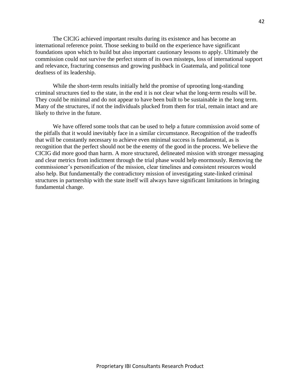The CICIG achieved important results during its existence and has become an international reference point. Those seeking to build on the experience have significant foundations upon which to build but also important cautionary lessons to apply. Ultimately the commission could not survive the perfect storm of its own missteps, loss of international support and relevance, fracturing consensus and growing pushback in Guatemala, and political tone deafness of its leadership.

While the short-term results initially held the promise of uprooting long-standing criminal structures tied to the state, in the end it is not clear what the long-term results will be. They could be minimal and do not appear to have been built to be sustainable in the long term. Many of the structures, if not the individuals plucked from them for trial, remain intact and are likely to thrive in the future.

We have offered some tools that can be used to help a future commission avoid some of the pitfalls that it would inevitably face in a similar circumstance. Recognition of the tradeoffs that will be constantly necessary to achieve even minimal success is fundamental, as is recognition that the perfect should not be the enemy of the good in the process. We believe the CICIG did more good than harm. A more structured, delineated mission with stronger messaging and clear metrics from indictment through the trial phase would help enormously. Removing the commissioner's personification of the mission, clear timelines and consistent resources would also help. But fundamentally the contradictory mission of investigating state-linked criminal structures in partnership with the state itself will always have significant limitations in bringing fundamental change.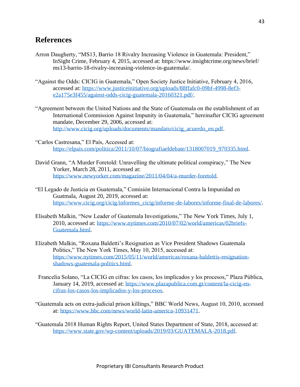## <span id="page-42-0"></span>**References**

- Arron Daugherty, "MS13, Barrio 18 Rivalry Increasing Violence in Guatemala: President," InSight Crime, February 4, 2015, accessed at: https://www.insightcrime.org/news/brief/ ms13-barrio-18-rivalry-increasing-violence-in-guatemala/.
- "Against the Odds: CICIG in Guatemala," Open Society Justice Initiative, February 4, 2016, accessed at: [https://www.justiceinitiative.org/uploads/88ffafc0-09bf-4998-8ef3](https://www.justiceinitiative.org/uploads/88ffafc0-09bf-4998-8ef3-e2a175e3f455/against-odds-cicig-guatemala-20160321.pdf/) [e2a175e3f455/against-odds-cicig-guatemala-20160321.pdf/.](https://www.justiceinitiative.org/uploads/88ffafc0-09bf-4998-8ef3-e2a175e3f455/against-odds-cicig-guatemala-20160321.pdf/)
- "Agreement between the United Nations and the State of Guatemala on the establishment of an International Commission Against Impunity in Guatemala," hereinafter CICIG agreement mandate, December 29, 2006, accessed at: [http://www.cicig.org/uploads/documents/mandato/cicig\\_acuerdo\\_en.pdf.](http://www.cicig.org/uploads/documents/mandato/cicig_acuerdo_en.pdf)
- "Carlos Castresana," El País, Accessed at: [https://elpais.com/politica/2011/10/07/biografiaeldebate/1318007019\\_970335.html.](https://elpais.com/politica/2011/10/07/biografiaeldebate/1318007019_970335.html)
- David Grann, "A Murder Foretold: Unravelling the ultimate political conspiracy," The New Yorker, March 28, 2011, accessed at: [https://www.newyorker.com/magazine/2011/04/04/a-murder-foretold.](https://www.newyorker.com/magazine/2011/04/04/a-murder-foretold)
- "El Legado de Justicia en Guatemala," Comisión Internacional Contra la Impunidad en Guatmala, August 20, 2019, accessed at: [https://www.cicig.org/cicig/informes\\_cicig/informe-de-labores/informe-final-de-labores/.](https://www.cicig.org/cicig/informes_cicig/informe-de-labores/informe-final-de-labores/)
- Elisabeth Malkin, "New Leader of Guatemala Investigations," The New York Times, July 1, 2010, accessed at: [https://www.nytimes.com/2010/07/02/world/americas/02briefs-](https://www.nytimes.com/2010/07/02/world/americas/02briefs-Guatemala.html)[Guatemala.html.](https://www.nytimes.com/2010/07/02/world/americas/02briefs-Guatemala.html)
- Elizabeth Malkin, "Roxana Baldetti's Resignation as Vice President Shadows Guatemala Politics," The New York Times, May 10, 2015, accessed at: [https://www.nytimes.com/2015/05/11/world/americas/roxana-baldettis-resignation](https://www.nytimes.com/2015/05/11/world/americas/roxana-baldettis-resignation-shadows-guatemala-politics.html)[shadows-guatemala-politics.html.](https://www.nytimes.com/2015/05/11/world/americas/roxana-baldettis-resignation-shadows-guatemala-politics.html)
- Francelia Solano, "La CICIG en cifras: los casos, los implicados y los procesos," Plaza Pública, January 14, 2019, accessed at: [https://www.plazapublica.com.gt/content/la-cicig-en](https://www.plazapublica.com.gt/content/la-cicig-en-cifras-los-casos-los-implicados-y-los-procesos)[cifras-los-casos-los-implicados-y-los-procesos.](https://www.plazapublica.com.gt/content/la-cicig-en-cifras-los-casos-los-implicados-y-los-procesos)
- "Guatemala acts on extra-judicial prison killings," BBC World News, August 10, 2010, accessed at: [https://www.bbc.com/news/world-latin-america-10931471.](https://www.bbc.com/news/world-latin-america-10931471)
- "Guatemala 2018 Human Rights Report, United States Department of State, 2018, accessed at: [https://www.state.gov/wp-content/uploads/2019/03/GUATEMALA-2018.pdf.](https://www.state.gov/wp-content/uploads/2019/03/GUATEMALA-2018.pdf)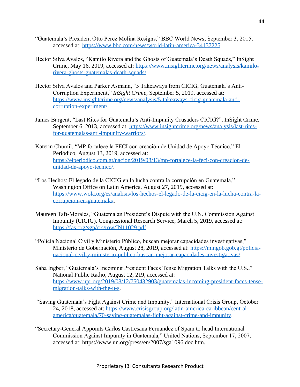- "Guatemala's President Otto Perez Molina Resigns," BBC World News, September 3, 2015, accessed at: [https://www.bbc.com/news/world-latin-america-34137225.](https://www.bbc.com/news/world-latin-america-34137225)
- Hector Silva Avalos, "Kamilo Rivera and the Ghosts of Guatemala's Death Squads," InSight Crime, May 16, 2019, accessed at: [https://www.insightcrime.org/news/analysis/kamilo](https://www.insightcrime.org/news/analysis/kamilo-rivera-ghosts-guatemalas-death-squads/)[rivera-ghosts-guatemalas-death-squads/.](https://www.insightcrime.org/news/analysis/kamilo-rivera-ghosts-guatemalas-death-squads/)
- Hector Silva Avalos and Parker Asmann, "5 Takeaways from CICIG, Guatemala's Anti-Corruption Experiment," *InSight Crime*, September 5, 2019, accessed at: [https://www.insightcrime.org/news/analysis/5-takeaways-cicig-guatemala-anti](https://www.insightcrime.org/news/analysis/5-takeaways-cicig-guatemala-anti-corruption-experiment/)[corruption-experiment/.](https://www.insightcrime.org/news/analysis/5-takeaways-cicig-guatemala-anti-corruption-experiment/)
- James Bargent, "Last Rites for Guatemala's Anti-Impunity Crusaders CICIG?", InSight Crime, September 6, 2013, accessed at: [https://www.insightcrime.org/news/analysis/last-rites](https://www.insightcrime.org/news/analysis/last-rites-for-guatemalas-anti-impunity-warriors/)[for-guatemalas-anti-impunity-warriors/.](https://www.insightcrime.org/news/analysis/last-rites-for-guatemalas-anti-impunity-warriors/)
- Katerin Chumil, "MP fortalece la FECI con creación de Unidad de Apoyo Técnico," El Periódico, August 13, 2019, accessed at: [https://elperiodico.com.gt/nacion/2019/08/13/mp-fortalece-la-feci-con-creacion-de](https://elperiodico.com.gt/nacion/2019/08/13/mp-fortalece-la-feci-con-creacion-de-unidad-de-apoyo-tecnico/)[unidad-de-apoyo-tecnico/.](https://elperiodico.com.gt/nacion/2019/08/13/mp-fortalece-la-feci-con-creacion-de-unidad-de-apoyo-tecnico/)
- "Los Hechos: El legado de la CICIG en la lucha contra la corrupción en Guatemala," Washington Office on Latin America, August 27, 2019, accessed at: [https://www.wola.org/es/analisis/los-hechos-el-legado-de-la-cicig-en-la-lucha-contra-la](https://www.wola.org/es/analisis/los-hechos-el-legado-de-la-cicig-en-la-lucha-contra-la-corrupcion-en-guatemala/)[corrupcion-en-guatemala/.](https://www.wola.org/es/analisis/los-hechos-el-legado-de-la-cicig-en-la-lucha-contra-la-corrupcion-en-guatemala/)
- Maureen Taft-Morales, "Guatemalan President's Dispute with the U.N. Commission Against Impunity (CICIG). Congressional Research Service, March 5, 2019, accessed at: [https://fas.org/sgp/crs/row/IN11029.pdf.](https://fas.org/sgp/crs/row/IN11029.pdf)
- "Policía Nacional Civil y Ministerio Público, buscan mejorar capacidades investigativas," Ministerio de Gobernación, August 28, 2019, accessed at: [https://mingob.gob.gt/policia](https://mingob.gob.gt/policia-nacional-civil-y-ministerio-publico-buscan-mejorar-capacidades-investigativas/)[nacional-civil-y-ministerio-publico-buscan-mejorar-capacidades-investigativas/.](https://mingob.gob.gt/policia-nacional-civil-y-ministerio-publico-buscan-mejorar-capacidades-investigativas/)
- Saha Ingber, "Guatemala's Incoming President Faces Tense Migration Talks with the U.S.," National Public Radio, August 12, 219, accessed at: [https://www.npr.org/2019/08/12/750432903/guatemalas-incoming-president-faces-tense](https://www.npr.org/2019/08/12/750432903/guatemalas-incoming-president-faces-tense-migration-talks-with-the-u-s)[migration-talks-with-the-u-s.](https://www.npr.org/2019/08/12/750432903/guatemalas-incoming-president-faces-tense-migration-talks-with-the-u-s)
- "Saving Guatemala's Fight Against Crime and Impunity," International Crisis Group, October 24, 2018, accessed at: [https://www.crisisgroup.org/latin-america-caribbean/central](https://www.crisisgroup.org/latin-america-caribbean/central-america/guatemala/70-saving-guatemalas-fight-against-crime-and-impunity)[america/guatemala/70-saving-guatemalas-fight-against-crime-and-impunity.](https://www.crisisgroup.org/latin-america-caribbean/central-america/guatemala/70-saving-guatemalas-fight-against-crime-and-impunity)
- "Secretary-General Appoints Carlos Castresana Fernandez of Spain to head International Commission Against Impunity in Guatemala," United Nations, September 17, 2007, accessed at: https://www.un.org/press/en/2007/sga1096.doc.htm.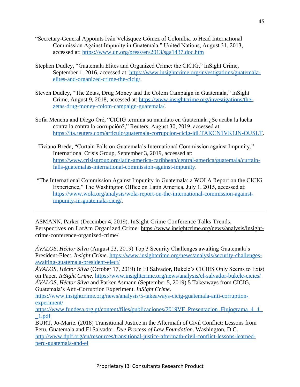- "Secretary-General Appoints Iván Velásquez Gómez of Colombia to Head International Commission Against Impunity in Guatemala," United Nations, August 31, 2013, accessed at:<https://www.un.org/press/en/2013/sga1437.doc.htm>
- Stephen Dudley, "Guatemala Elites and Organized Crime: the CICIG," InSight Crime, September 1, 2016, accessed at: [https://www.insightcrime.org/investigations/guatemala](https://www.insightcrime.org/investigations/guatemala-elites-and-organized-crime-the-cicig/)[elites-and-organized-crime-the-cicig/.](https://www.insightcrime.org/investigations/guatemala-elites-and-organized-crime-the-cicig/)
- Steven Dudley, "The Zetas, Drug Money and the Colom Campaign in Guatemala," InSight Crime, August 9, 2018, accessed at: [https://www.insightcrime.org/investigations/the](https://www.insightcrime.org/investigations/the-zetas-drug-money-colom-campaign-guatemala/)[zetas-drug-money-colom-campaign-guatemala/.](https://www.insightcrime.org/investigations/the-zetas-drug-money-colom-campaign-guatemala/)
- Sofia Menchu and Diego Oré, "CICIG termina su mandato en Guatemala ¿Se acaba la lucha contra la contra la corrupción?," Reuters, August 30, 2019, accessed at: [https://lta.reuters.com/articulo/guatemala-corrupcion-cicig-idLTAKCN1VK1JN-OUSLT.](https://lta.reuters.com/articulo/guatemala-corrupcion-cicig-idLTAKCN1VK1JN-OUSLT)
- Tiziano Breda, "Curtain Falls on Guatemala's International Commission against Impunity," International Crisis Group, September 3, 2019, accessed at: [https://www.crisisgroup.org/latin-america-caribbean/central-america/guatemala/curtain](https://www.crisisgroup.org/latin-america-caribbean/central-america/guatemala/curtain-falls-guatemalas-international-commission-against-impunity)[falls-guatemalas-international-commission-against-impunity.](https://www.crisisgroup.org/latin-america-caribbean/central-america/guatemala/curtain-falls-guatemalas-international-commission-against-impunity)
- "The International Commission Against Impunity in Guatemala: a WOLA Report on the CICIG Experience," The Washington Office on Latin America, July 1, 2015, accessed at: [https://www.wola.org/analysis/wola-report-on-the-international-commission-against](https://www.wola.org/analysis/wola-report-on-the-international-commission-against-impunity-in-guatemala-cicig/)[impunity-in-guatemala-cicig/.](https://www.wola.org/analysis/wola-report-on-the-international-commission-against-impunity-in-guatemala-cicig/)

ASMANN, Parker (December 4, 2019). InSight Crime Conference Talks Trends, Perspectives on LatAm Organized Crime. [https://www.insightcrime.org/news/analysis/insight](https://www.insightcrime.org/news/analysis/insight-crime-conference-organized-crime/)[crime-conference-organized-crime/](https://www.insightcrime.org/news/analysis/insight-crime-conference-organized-crime/)

*ÁVALOS, Héctor Silva* (August 23, 2019) Top 3 Security Challenges awaiting Guatemala's President-Elect. *Insight Crime*. [https://www.insightcrime.org/news/analysis/security-challenges](https://www.insightcrime.org/news/analysis/security-challenges-awaiting-guatemala-president-elect/)[awaiting-guatemala-president-elect/](https://www.insightcrime.org/news/analysis/security-challenges-awaiting-guatemala-president-elect/)

*ÁVALOS, Héctor Silva* (October 17, 2019) In El Salvador, Bukele's CICIES Only Seems to Exist on Paper. *InSight Crime*.<https://www.insightcrime.org/news/analysis/el-salvador-bukele-cicies/> *ÁVALOS, Héctor Silva* and Parker Asmann (September 5, 2019) 5 Takeaways from CICIG, Guatemala's Anti-Corruption Experiment. *InSight Crime*.

[https://www.insightcrime.org/news/analysis/5-takeaways-cicig-guatemala-anti-corruption](https://www.insightcrime.org/news/analysis/5-takeaways-cicig-guatemala-anti-corruption-experiment/)[experiment/](https://www.insightcrime.org/news/analysis/5-takeaways-cicig-guatemala-anti-corruption-experiment/)

[https://www.fundesa.org.gt/content/files/publicaciones/2019VF\\_Presentacion\\_Flujograma\\_4\\_4\\_](https://www.fundesa.org.gt/content/files/publicaciones/2019VF_Presentacion_Flujograma_4_4__1.pdf) [\\_1.pdf](https://www.fundesa.org.gt/content/files/publicaciones/2019VF_Presentacion_Flujograma_4_4__1.pdf)

BURT, Jo-Marie. (2018) Transitional Justice in the Aftermath of Civil Conflict: Lessons from Peru, Guatemala and El Salvador. *Due Process of Law Foundation*. Washington, D.C. [http://www.dplf.org/en/resources/transitional-justice-aftermath-civil-conflict-lessons-learned](http://www.dplf.org/en/resources/transitional-justice-aftermath-civil-conflict-lessons-learned-peru-guatemala-and-el)[peru-guatemala-and-el](http://www.dplf.org/en/resources/transitional-justice-aftermath-civil-conflict-lessons-learned-peru-guatemala-and-el)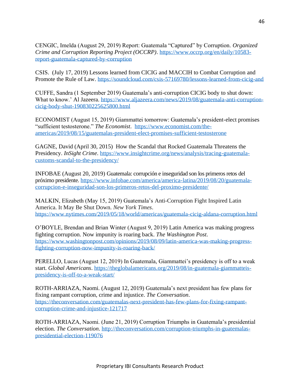CENGIC, Imelda (August 29, 2019) Report: Guatemala "Captured" by Corruption. *Organized Crime and Corruption Reporting Project (OCCRP)*. [https://www.occrp.org/en/daily/10583](https://www.occrp.org/en/daily/10583-report-guatemala-captured-by-corruption) [report-guatemala-captured-by-corruption](https://www.occrp.org/en/daily/10583-report-guatemala-captured-by-corruption)

CSIS. (July 17, 2019) Lessons learned from CICIG and MACCIH to Combat Corruption and Promote the Rule of Law.<https://soundcloud.com/csis-57169780/lessons-learned-from-cicig-and>

CUFFE, Sandra (1 September 2019) Guatemala's anti-corruption CICIG body to shut down: What to know.' Al Jazeera. [https://www.aljazeera.com/news/2019/08/guatemala-anti-corruption](https://www.aljazeera.com/news/2019/08/guatemala-anti-corruption-cicig-body-shut-190830225625800.html)[cicig-body-shut-190830225625800.html](https://www.aljazeera.com/news/2019/08/guatemala-anti-corruption-cicig-body-shut-190830225625800.html)

ECONOMIST (August 15, 2019) Giammattei tomorrow: Guatemala's president-elect promises "sufficient testosterone." *The Economist*. [https://www.economist.com/the](https://www.economist.com/the-americas/2019/08/15/guatemalas-president-elect-promises-sufficient-testosterone)[americas/2019/08/15/guatemalas-president-elect-promises-sufficient-testosterone](https://www.economist.com/the-americas/2019/08/15/guatemalas-president-elect-promises-sufficient-testosterone)

GAGNE, David (April 30, 2015) How the Scandal that Rocked Guatemala Threatens the Presidency. *InSight Crime*. [https://www.insightcrime.org/news/analysis/tracing-guatemala](https://www.insightcrime.org/news/analysis/tracing-guatemala-customs-scandal-to-the-presidency/)[customs-scandal-to-the-presidency/](https://www.insightcrime.org/news/analysis/tracing-guatemala-customs-scandal-to-the-presidency/)

INFOBAE (August 20, 2019) Guatemala: corrupción e inseguridad son los primeros retos del próximo presidente. [https://www.infobae.com/america/america-latina/2019/08/20/guatemala](https://www.infobae.com/america/america-latina/2019/08/20/guatemala-corrupcion-e-inseguridad-son-los-primeros-retos-del-proximo-presidente/)[corrupcion-e-inseguridad-son-los-primeros-retos-del-proximo-presidente/](https://www.infobae.com/america/america-latina/2019/08/20/guatemala-corrupcion-e-inseguridad-son-los-primeros-retos-del-proximo-presidente/)

MALKIN, Elizabeth (May 15, 2019) Guatemala's Anti-Corruption Fight Inspired Latin America. It May Be Shut Down. *New York Times*. <https://www.nytimes.com/2019/05/18/world/americas/guatemala-cicig-aldana-corruption.html>

O'BOYLE, Brendan and Brian Winter (August 9, 2019) Latin America was making progress fighting corruption. Now impunity is roaring back. *The Washington Post*. [https://www.washingtonpost.com/opinions/2019/08/09/latin-america-was-making-progress](https://www.washingtonpost.com/opinions/2019/08/09/latin-america-was-making-progress-fighting-corruption-now-impunity-is-roaring-back/)[fighting-corruption-now-impunity-is-roaring-back/](https://www.washingtonpost.com/opinions/2019/08/09/latin-america-was-making-progress-fighting-corruption-now-impunity-is-roaring-back/)

PERELLO, Lucas (August 12, 2019) In Guatemala, Giammattei's presidency is off to a weak start. *Global Americans*. [https://theglobalamericans.org/2019/08/in-guatemala-giammatteis](https://theglobalamericans.org/2019/08/in-guatemala-giammatteis-presidency-is-off-to-a-weak-start/)[presidency-is-off-to-a-weak-start/](https://theglobalamericans.org/2019/08/in-guatemala-giammatteis-presidency-is-off-to-a-weak-start/)

ROTH-ARRIAZA, Naomi. (August 12, 2019) Guatemala's next president has few plans for fixing rampant corruption, crime and injustice. *The Conversation*. [https://theconversation.com/guatemalas-next-president-has-few-plans-for-fixing-rampant](https://theconversation.com/guatemalas-next-president-has-few-plans-for-fixing-rampant-corruption-crime-and-injustice-121717)[corruption-crime-and-injustice-121717](https://theconversation.com/guatemalas-next-president-has-few-plans-for-fixing-rampant-corruption-crime-and-injustice-121717)

ROTH-ARRIAZA, Naomi. (June 21, 2019) Corruption Triumphs in Guatemala's presidential election. *The Conversation*. [http://theconversation.com/corruption-triumphs-in-guatemalas](http://theconversation.com/corruption-triumphs-in-guatemalas-presidential-election-119076)[presidential-election-119076](http://theconversation.com/corruption-triumphs-in-guatemalas-presidential-election-119076)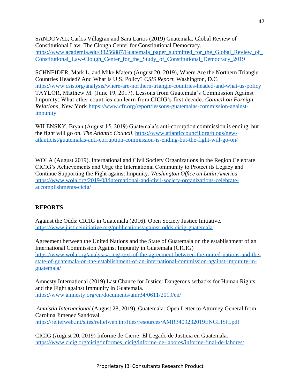SANDOVAL, Carlos Villagran and Sara Larios (2019) Guatemala. Global Review of Constitutional Law. The Clough Center for Constitutional Democracy. [https://www.academia.edu/38256887/Guatemala\\_paper\\_submitted\\_for\\_the\\_Global\\_Review\\_of\\_](https://www.academia.edu/38256887/Guatemala_paper_submitted_for_the_Global_Review_of_Constitutional_Law-Clough_Center_for_the_Study_of_Constitutional_Democracy_2019) [Constitutional\\_Law-Clough\\_Center\\_for\\_the\\_Study\\_of\\_Constitutional\\_Democracy\\_2019](https://www.academia.edu/38256887/Guatemala_paper_submitted_for_the_Global_Review_of_Constitutional_Law-Clough_Center_for_the_Study_of_Constitutional_Democracy_2019)

SCHNEIDER, Mark L. and Mike Matera (August 20, 2019), Where Are the Northern Triangle Countries Headed? And What Is U.S. Policy? *CSIS Report*, Washington, D.C. <https://www.csis.org/analysis/where-are-northern-triangle-countries-headed-and-what-us-policy> TAYLOR, Matthew M. (June 19, 2017). Lessons from Guatemala's Commission Against Impunity: What other countries can learn from CICIG's first decade. *Council on Foreign Relations*, New York[.https://www.cfr.org/report/lessons-guatemalas-commission-against](https://www.cfr.org/report/lessons-guatemalas-commission-against-impunity)[impunity](https://www.cfr.org/report/lessons-guatemalas-commission-against-impunity)

WILENSKY, Bryan (August 15, 2019) Guatemala's anti-corruption commission is ending, but the fight will go on. *The Atlantic Council*. [https://www.atlanticcouncil.org/blogs/new](https://www.atlanticcouncil.org/blogs/new-atlanticist/guatemalas-anti-corruption-commission-is-ending-but-the-fight-will-go-on/)[atlanticist/guatemalas-anti-corruption-commission-is-ending-but-the-fight-will-go-on/](https://www.atlanticcouncil.org/blogs/new-atlanticist/guatemalas-anti-corruption-commission-is-ending-but-the-fight-will-go-on/)

WOLA (August 2019). International and Civil Society Organizations in the Region Celebrate CICIG's Achievements and Urge the International Community to Protect its Legacy and Continue Supporting the Fight against Impunity. *Washington Office on Latin America.* [https://www.wola.org/2019/08/international-and-civil-society-organizations-celebrate](https://www.wola.org/2019/08/international-and-civil-society-organizations-celebrate-accomplishments-cicig/)[accomplishments-cicig/](https://www.wola.org/2019/08/international-and-civil-society-organizations-celebrate-accomplishments-cicig/)

#### **REPORTS**

Against the Odds: CICIG in Guatemala (2016). Open Society Justice Initiative. <https://www.justiceinitiative.org/publications/against-odds-cicig-guatemala>

Agreement between the United Nations and the State of Guatemala on the establishment of an International Commission Against Impunity in Guatemala (CICIG) [https://www.wola.org/analysis/cicig-text-of-the-agreement-between-the-united-nations-and-the](https://www.wola.org/analysis/cicig-text-of-the-agreement-between-the-united-nations-and-the-state-of-guatemala-on-the-establishment-of-an-international-commission-against-impunity-in-guatemala/)[state-of-guatemala-on-the-establishment-of-an-international-commission-against-impunity-in](https://www.wola.org/analysis/cicig-text-of-the-agreement-between-the-united-nations-and-the-state-of-guatemala-on-the-establishment-of-an-international-commission-against-impunity-in-guatemala/)[guatemala/](https://www.wola.org/analysis/cicig-text-of-the-agreement-between-the-united-nations-and-the-state-of-guatemala-on-the-establishment-of-an-international-commission-against-impunity-in-guatemala/)

Amnesty International (2019) Last Chance for Justice: Dangerous setbacks for Human Rights and the Fight against Immunity in Guatemala. <https://www.amnesty.org/en/documents/amr34/0611/2019/en/>

*Amnistia Internacional* (August 28, 2019). Guatemala: Open Letter to Attorney General from Carolina Jimenez Sandoval. <https://reliefweb.int/sites/reliefweb.int/files/resources/AMR3409232019ENGLISH.pdf>

CICIG (August 20, 2019) Informe de Cierre: El Legado de Justicia en Guatemala. [https://www.cicig.org/cicig/informes\\_cicig/informe-de-labores/informe-final-de-labores/](https://www.cicig.org/cicig/informes_cicig/informe-de-labores/informe-final-de-labores/)